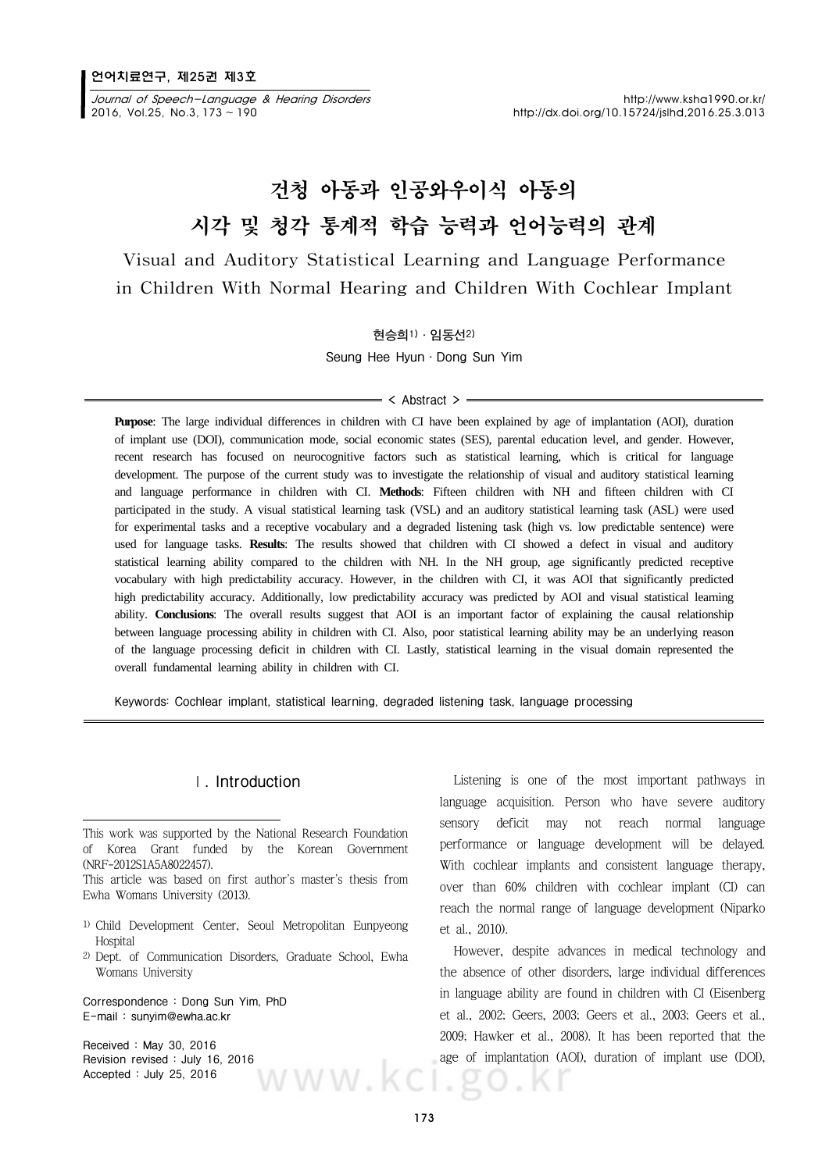2016, Vol.25, No.3, 173 ~ 190 http://dx.doi.org/10.15724/jslhd.2016.25.3.013

## 건청 아동과 인공와우이식 아동의 시각 및 청각 통계적 학습 능력과 언어능력의 관계

**Visual and Auditory Statistical Learning and Language Performance in Children With Normal Hearing and Children With Cochlear Implant**

**현승희1)·임동선2)**

**Seung Hee Hyun·Dong Sun Yim**

#### $=$  < Abstract >  $=$

**Purpose**: The large individual differences in children with CI have been explained by age of implantation (AOI), duration of implant use (DOI), communication mode, social economic states (SES), parental education level, and gender. However, recent research has focused on neurocognitive factors such as statistical learning, which is critical for language development. The purpose of the current study was to investigate the relationship of visual and auditory statistical learning and language performance in children with CI. **Methods**: Fifteen children with NH and fifteen children with CI participated in the study. A visual statistical learning task (VSL) and an auditory statistical learning task (ASL) were used for experimental tasks and a receptive vocabulary and a degraded listening task (high vs. low predictable sentence) were used for language tasks. **Results**: The results showed that children with CI showed a defect in visual and auditory statistical learning ability compared to the children with NH. In the NH group, age significantly predicted receptive vocabulary with high predictability accuracy. However, in the children with CI, it was AOI that significantly predicted high predictability accuracy. Additionally, low predictability accuracy was predicted by AOI and visual statistical learning ability. **Conclusions**: The overall results suggest that AOI is an important factor of explaining the causal relationship between language processing ability in children with CI. Also, poor statistical learning ability may be an underlying reason of the language processing deficit in children with CI. Lastly, statistical learning in the visual domain represented the overall fundamental learning ability in children with CI.

**Keywords: Cochlear implant, statistical learning, degraded listening task, language processing**

#### **Ⅰ. Introduction**

This article was based on first author's master's thesis from Ewha Womans University (2013).

- 1) Child Development Center, Seoul Metropolitan Eunpyeong **Hospital**
- 2) Dept. of Communication Disorders, Graduate School, Ewha Womans University

**Correspondence : Dong Sun Yim, PhD E-mail : sunyim@ewha.ac.kr**

**Received : May 30, 2016**  Revision revised : July 16, 2016 **age of implant Accepted : July 25, 2016 Accepted : July 25, 2016**

Listening is one of the most important pathways in language acquisition. Person who have severe auditory sensory deficit may not reach normal language performance or language development will be delayed. With cochlear implants and consistent language therapy, over than 60% children with cochlear implant (CI) can reach the normal range of language development (Niparko et al., 2010).

However, despite advances in medical technology and the absence of other disorders, large individual differences in language ability are found in children with CI (Eisenberg et al., 2002; Geers, 2003; Geers et al., 2003; Geers et al., 2009; Hawker et al., 2008). It has been reported that the age of implantation (AOI), duration of implant use (DOI),

This work was supported by the National Research Foundation of Korea Grant funded by the Korean Government (NRF-2012S1A5A8022457).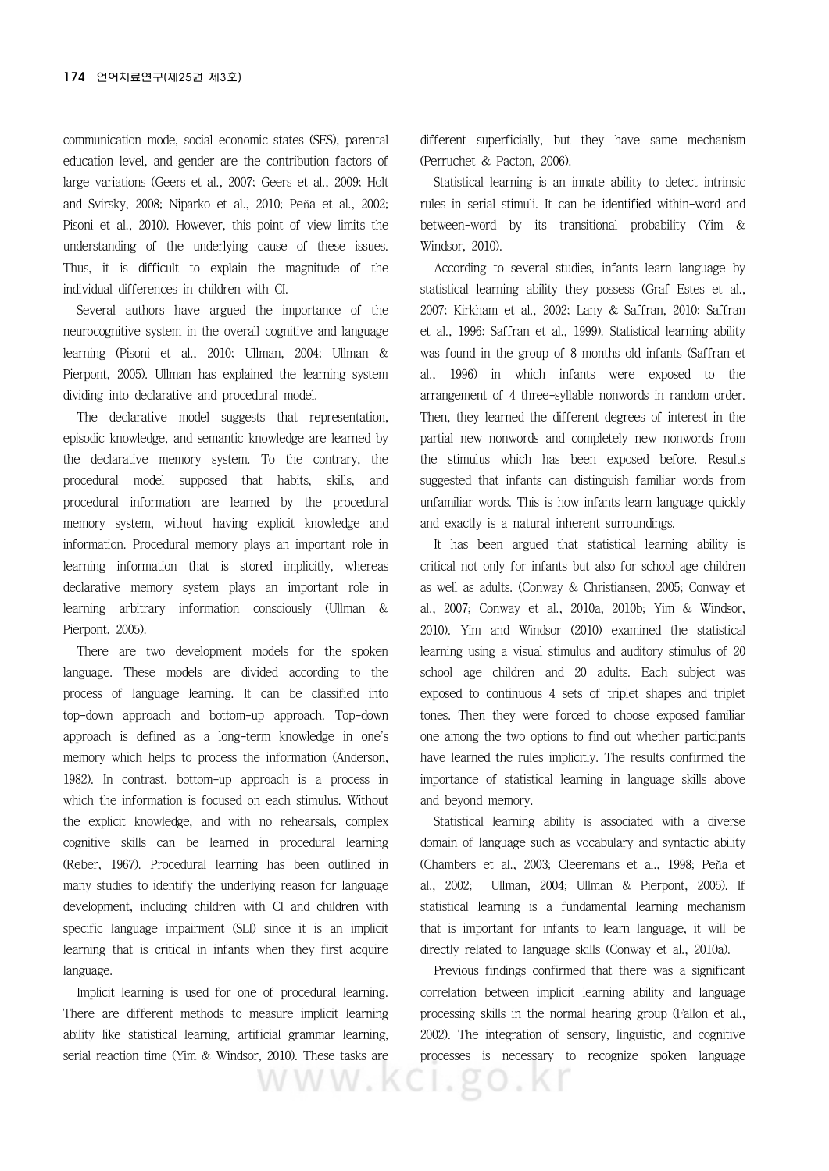communication mode, social economic states (SES), parental education level, and gender are the contribution factors of large variations (Geers et al., 2007; Geers et al., 2009; Holt and Svirsky, 2008; Niparko et al., 2010; Peňa et al., 2002; Pisoni et al., 2010). However, this point of view limits the understanding of the underlying cause of these issues. Thus, it is difficult to explain the magnitude of the individual differences in children with CI.

Several authors have argued the importance of the neurocognitive system in the overall cognitive and language learning (Pisoni et al., 2010; Ullman, 2004; Ullman & Pierpont, 2005). Ullman has explained the learning system dividing into declarative and procedural model.

The declarative model suggests that representation, episodic knowledge, and semantic knowledge are learned by the declarative memory system. To the contrary, the procedural model supposed that habits, skills, and procedural information are learned by the procedural memory system, without having explicit knowledge and information. Procedural memory plays an important role in learning information that is stored implicitly, whereas declarative memory system plays an important role in learning arbitrary information consciously (Ullman & Pierpont, 2005).

There are two development models for the spoken language. These models are divided according to the process of language learning. It can be classified into top-down approach and bottom-up approach. Top-down approach is defined as a long-term knowledge in one's memory which helps to process the information (Anderson, 1982). In contrast, bottom-up approach is a process in which the information is focused on each stimulus. Without the explicit knowledge, and with no rehearsals, complex cognitive skills can be learned in procedural learning (Reber, 1967). Procedural learning has been outlined in many studies to identify the underlying reason for language development, including children with CI and children with specific language impairment (SLI) since it is an implicit learning that is critical in infants when they first acquire language.

Implicit learning is used for one of procedural learning. There are different methods to measure implicit learning ability like statistical learning, artificial grammar learning, serial reaction time (Yim & Windsor, 2010). These tasks are different superficially, but they have same mechanism (Perruchet & Pacton, 2006).

Statistical learning is an innate ability to detect intrinsic rules in serial stimuli. It can be identified within-word and between-word by its transitional probability (Yim & Windsor, 2010).

According to several studies, infants learn language by statistical learning ability they possess (Graf Estes et al., 2007; Kirkham et al., 2002; Lany & Saffran, 2010; Saffran et al., 1996; Saffran et al., 1999). Statistical learning ability was found in the group of 8 months old infants (Saffran et al., 1996) in which infants were exposed to the arrangement of 4 three-syllable nonwords in random order. Then, they learned the different degrees of interest in the partial new nonwords and completely new nonwords from the stimulus which has been exposed before. Results suggested that infants can distinguish familiar words from unfamiliar words. This is how infants learn language quickly and exactly is a natural inherent surroundings.

It has been argued that statistical learning ability is critical not only for infants but also for school age children as well as adults. (Conway & Christiansen, 2005; Conway et al., 2007; Conway et al., 2010a, 2010b; Yim & Windsor, 2010). Yim and Windsor (2010) examined the statistical learning using a visual stimulus and auditory stimulus of 20 school age children and 20 adults. Each subject was exposed to continuous 4 sets of triplet shapes and triplet tones. Then they were forced to choose exposed familiar one among the two options to find out whether participants have learned the rules implicitly. The results confirmed the importance of statistical learning in language skills above and beyond memory.

Statistical learning ability is associated with a diverse domain of language such as vocabulary and syntactic ability (Chambers et al., 2003; Cleeremans et al., 1998; Peňa et al., 2002; Ullman, 2004; Ullman & Pierpont, 2005). If statistical learning is a fundamental learning mechanism that is important for infants to learn language, it will be directly related to language skills (Conway et al., 2010a).

Previous findings confirmed that there was a significant correlation between implicit learning ability and language processing skills in the normal hearing group (Fallon et al., 2002). The integration of sensory, linguistic, and cognitive processes is necessary to recognize spoken language

WWW.KCI.go.Kr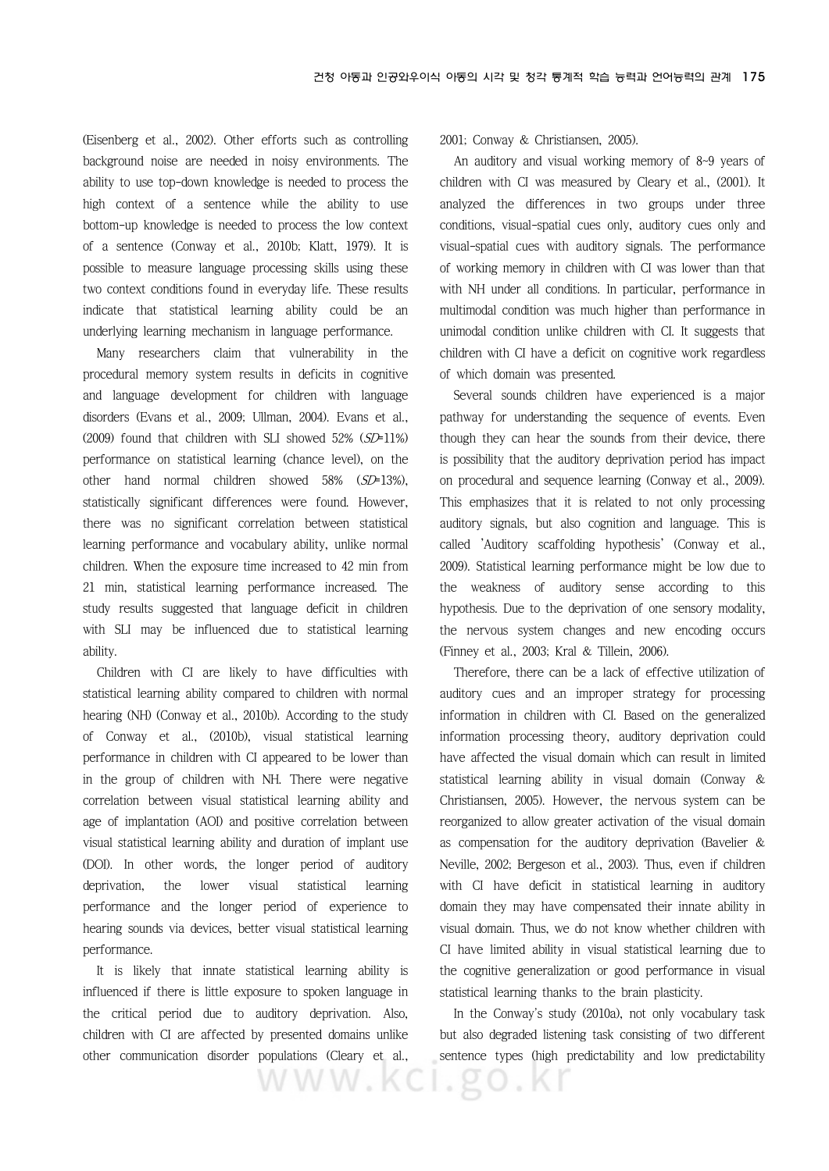(Eisenberg et al., 2002). Other efforts such as controlling background noise are needed in noisy environments. The ability to use top-down knowledge is needed to process the high context of a sentence while the ability to use bottom-up knowledge is needed to process the low context of a sentence (Conway et al., 2010b; Klatt, 1979). It is possible to measure language processing skills using these two context conditions found in everyday life. These results indicate that statistical learning ability could be an underlying learning mechanism in language performance.

Many researchers claim that vulnerability in the procedural memory system results in deficits in cognitive and language development for children with language disorders (Evans et al., 2009; Ullman, 2004). Evans et al., (2009) found that children with SLI showed  $52\%$  ( $SD=11\%$ ) performance on statistical learning (chance level), on the other hand normal children showed 58% (SD=13%), statistically significant differences were found. However, there was no significant correlation between statistical learning performance and vocabulary ability, unlike normal children. When the exposure time increased to 42 min from 21 min, statistical learning performance increased. The study results suggested that language deficit in children with SLI may be influenced due to statistical learning ability.

Children with CI are likely to have difficulties with statistical learning ability compared to children with normal hearing (NH) (Conway et al., 2010b). According to the study of Conway et al., (2010b), visual statistical learning performance in children with CI appeared to be lower than in the group of children with NH. There were negative correlation between visual statistical learning ability and age of implantation (AOI) and positive correlation between visual statistical learning ability and duration of implant use (DOI). In other words, the longer period of auditory deprivation, the lower visual statistical learning performance and the longer period of experience to hearing sounds via devices, better visual statistical learning performance.

It is likely that innate statistical learning ability is influenced if there is little exposure to spoken language in the critical period due to auditory deprivation. Also, children with CI are affected by presented domains unlike other communication disorder populations (Cleary et al.,

WWW.KCI

2001; Conway & Christiansen, 2005).

An auditory and visual working memory of 8~9 years of children with CI was measured by Cleary et al., (2001). It analyzed the differences in two groups under three conditions, visual-spatial cues only, auditory cues only and visual-spatial cues with auditory signals. The performance of working memory in children with CI was lower than that with NH under all conditions. In particular, performance in multimodal condition was much higher than performance in unimodal condition unlike children with CI. It suggests that children with CI have a deficit on cognitive work regardless of which domain was presented.

Several sounds children have experienced is a major pathway for understanding the sequence of events. Even though they can hear the sounds from their device, there is possibility that the auditory deprivation period has impact on procedural and sequence learning (Conway et al., 2009). This emphasizes that it is related to not only processing auditory signals, but also cognition and language. This is called 'Auditory scaffolding hypothesis' (Conway et al., 2009). Statistical learning performance might be low due to the weakness of auditory sense according to this hypothesis. Due to the deprivation of one sensory modality, the nervous system changes and new encoding occurs (Finney et al., 2003; Kral & Tillein, 2006).

Therefore, there can be a lack of effective utilization of auditory cues and an improper strategy for processing information in children with CI. Based on the generalized information processing theory, auditory deprivation could have affected the visual domain which can result in limited statistical learning ability in visual domain (Conway & Christiansen, 2005). However, the nervous system can be reorganized to allow greater activation of the visual domain as compensation for the auditory deprivation (Bavelier & Neville, 2002; Bergeson et al., 2003). Thus, even if children with CI have deficit in statistical learning in auditory domain they may have compensated their innate ability in visual domain. Thus, we do not know whether children with CI have limited ability in visual statistical learning due to the cognitive generalization or good performance in visual statistical learning thanks to the brain plasticity.

In the Conway's study (2010a), not only vocabulary task but also degraded listening task consisting of two different sentence types (high predictability and low predictability

 $.80.61$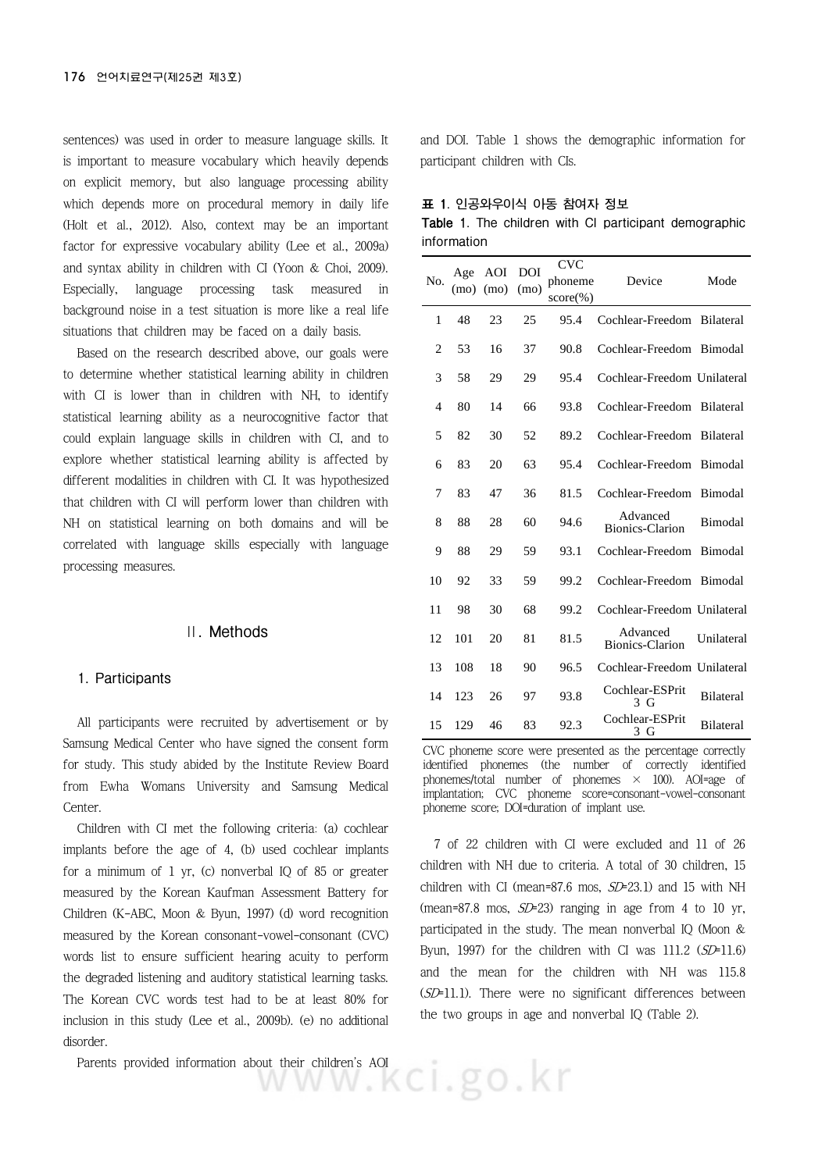sentences) was used in order to measure language skills. It is important to measure vocabulary which heavily depends on explicit memory, but also language processing ability which depends more on procedural memory in daily life (Holt et al., 2012). Also, context may be an important factor for expressive vocabulary ability (Lee et al., 2009a) and syntax ability in children with CI (Yoon & Choi, 2009). Especially, language processing task measured in background noise in a test situation is more like a real life situations that children may be faced on a daily basis.

Based on the research described above, our goals were to determine whether statistical learning ability in children with CI is lower than in children with NH, to identify statistical learning ability as a neurocognitive factor that could explain language skills in children with CI, and to explore whether statistical learning ability is affected by different modalities in children with CI. It was hypothesized that children with CI will perform lower than children with NH on statistical learning on both domains and will be correlated with language skills especially with language processing measures.

#### **Ⅱ. Methods**

#### **1. Participants**

All participants were recruited by advertisement or by Samsung Medical Center who have signed the consent form for study. This study abided by the Institute Review Board from Ewha Womans University and Samsung Medical Center.

Children with CI met the following criteria: (a) cochlear implants before the age of 4, (b) used cochlear implants for a minimum of  $1 \,$  yr, (c) nonverbal IQ of 85 or greater measured by the Korean Kaufman Assessment Battery for Children (K-ABC, Moon & Byun, 1997) (d) word recognition measured by the Korean consonant-vowel-consonant (CVC) words list to ensure sufficient hearing acuity to perform the degraded listening and auditory statistical learning tasks. The Korean CVC words test had to be at least 80% for inclusion in this study (Lee et al., 2009b). (e) no additional disorder.

Parents provided information about their children's AOI<br> **Example 20** 

and DOI. Table 1 shows the demographic information for participant children with CIs.

|  |  | 표 1. 인공와우이식 아동 참여자 정보 |  |                   |  |  |
|--|--|-----------------------|--|-------------------|--|--|
|  |  |                       |  | $\cdots$ $\cdots$ |  |  |

|             |  |  |  | <b>Table 1.</b> The children with CI participant demographic |
|-------------|--|--|--|--------------------------------------------------------------|
| information |  |  |  |                                                              |

| N <sub>0</sub> | Age<br>(mo) | AOI<br>(mo) | <b>DOI</b><br>(mo) | <b>CVC</b><br>phoneme<br>$score(\%)$ | Device                      | Mode             |
|----------------|-------------|-------------|--------------------|--------------------------------------|-----------------------------|------------------|
| 1              | 48          | 23          | 25                 | 95.4                                 | Cochlear-Freedom            | <b>Bilateral</b> |
| $\overline{2}$ | 53          | 16          | 37                 | 90.8                                 | Cochlear-Freedom            | Bimodal          |
| 3              | 58          | 29          | 29                 | 95.4                                 | Cochlear-Freedom Unilateral |                  |
| 4              | 80          | 14          | 66                 | 93.8                                 | Cochlear-Freedom            | <b>Bilateral</b> |
| 5              | 82          | 30          | 52                 | 89.2                                 | Cochlear-Freedom            | Bilateral        |
| 6              | 83          | 20          | 63                 | 95.4                                 | Cochlear-Freedom            | Bimodal          |
| 7              | 83          | 47          | 36                 | 81.5                                 | Cochlear-Freedom            | Bimodal          |
| 8              | 88          | 28          | 60                 | 94.6                                 | Advanced<br>Bionics-Clarion | Bimodal          |
| 9              | 88          | 29          | 59                 | 93.1                                 | Cochlear-Freedom            | Bimodal          |
| 10             | 92          | 33          | 59                 | 99.2                                 | Cochlear-Freedom            | Bimodal          |
| 11             | 98          | 30          | 68                 | 99.2                                 | Cochlear-Freedom Unilateral |                  |
| 12             | 101         | 20          | 81                 | 81.5                                 | Advanced<br>Bionics-Clarion | Unilateral       |
| 13             | 108         | 18          | 90                 | 96.5                                 | Cochlear-Freedom Unilateral |                  |
| 14             | 123         | 26          | 97                 | 93.8                                 | Cochlear-ESPrit<br>3 G      | <b>Bilateral</b> |
| 15             | 129         | 46          | 83                 | 92.3                                 | Cochlear-ESPrit<br>3 G      | <b>Bilateral</b> |

CVC phoneme score were presented as the percentage correctly identified phonemes (the number of correctly identified phonemes/total number of phonemes  $\times$  100). AOI=age of implantation; CVC phoneme score=consonant-vowel-consonant phoneme score; DOI=duration of implant use.

7 of 22 children with CI were excluded and 11 of 26 children with NH due to criteria. A total of 30 children, 15 children with CI (mean=87.6 mos,  $SD=23.1$ ) and 15 with NH (mean=87.8 mos,  $SD=23$ ) ranging in age from 4 to 10 yr, participated in the study. The mean nonverbal IQ (Moon & Byun, 1997) for the children with CI was  $111.2$  (SD=11.6) and the mean for the children with NH was 115.8 (SD=11.1). There were no significant differences between the two groups in age and nonverbal IQ (Table 2).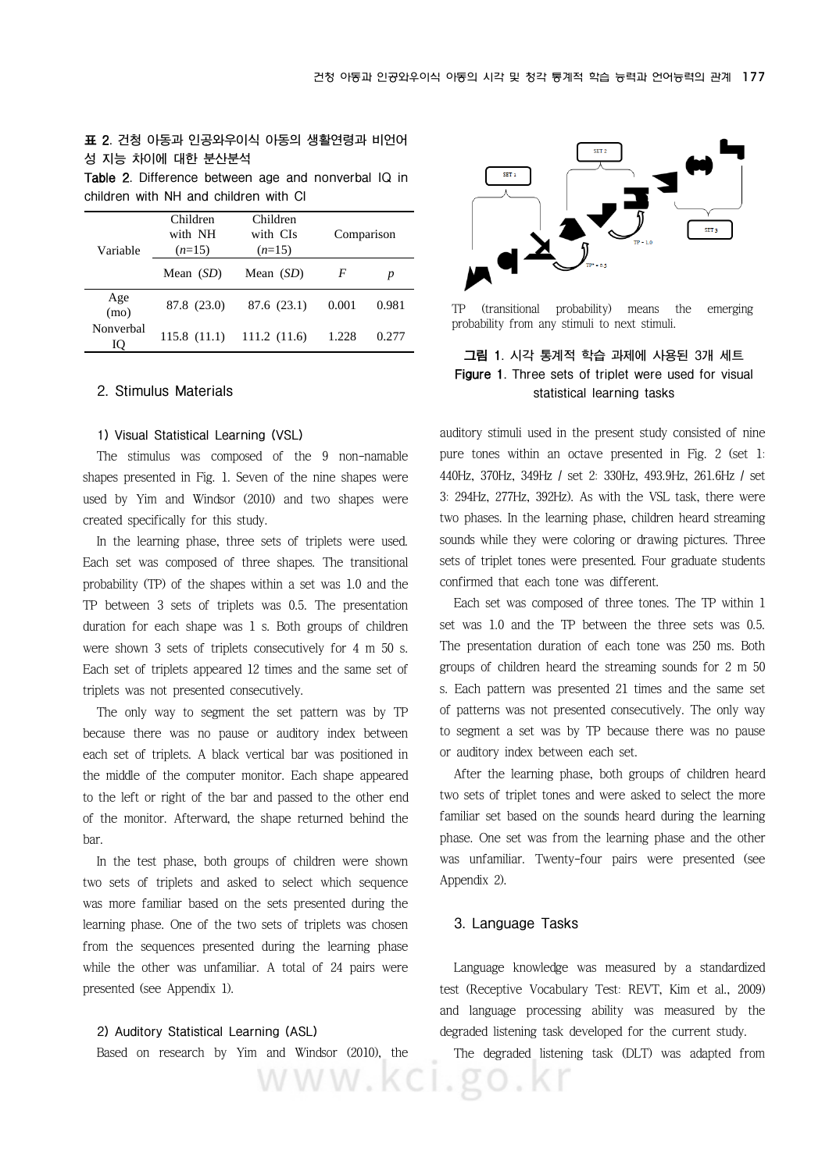#### **표 2. 건청 아동과 인공와우이식 아동의 생활연령과 비언어 성 지능 차이에 대한 분산분석**

**Table 2. Difference between age and nonverbal IQ in children with NH and children with CI**

| Variable        | Children<br>with NH<br>$(n=15)$ | Children<br>with CIs<br>$(n=15)$ | Comparison |       |  |
|-----------------|---------------------------------|----------------------------------|------------|-------|--|
|                 | Mean $(SD)$                     | Mean $(SD)$                      | F          | p     |  |
| Age<br>(mo)     | 87.8 (23.0)                     | 87.6 (23.1)                      | 0.001      | 0.981 |  |
| Nonverbal<br>IQ | 115.8(11.1)                     | 111.2(11.6)                      | 1.228      | 0.277 |  |

#### **2. Stimulus Materials**

#### **1) Visual Statistical Learning (VSL)**

The stimulus was composed of the 9 non-namable shapes presented in Fig. 1. Seven of the nine shapes were used by Yim and Windsor (2010) and two shapes were created specifically for this study.

In the learning phase, three sets of triplets were used. Each set was composed of three shapes. The transitional probability (TP) of the shapes within a set was 1.0 and the TP between 3 sets of triplets was 0.5. The presentation duration for each shape was 1 s. Both groups of children were shown 3 sets of triplets consecutively for 4 m 50 s. Each set of triplets appeared 12 times and the same set of triplets was not presented consecutively.

The only way to segment the set pattern was by TP because there was no pause or auditory index between each set of triplets. A black vertical bar was positioned in the middle of the computer monitor. Each shape appeared to the left or right of the bar and passed to the other end of the monitor. Afterward, the shape returned behind the bar.

In the test phase, both groups of children were shown two sets of triplets and asked to select which sequence was more familiar based on the sets presented during the learning phase. One of the two sets of triplets was chosen from the sequences presented during the learning phase while the other was unfamiliar. A total of 24 pairs were presented (see Appendix 1).

#### **2) Auditory Statistical Learning (ASL)**

Based on research by Yim and Windsor (2010), the



TP (transitional probability) means the emerging probability from any stimuli to next stimuli.

#### **그림 1. 시각 통계적 학습 과제에 사용된 3개 세트 Figure 1. Three sets of triplet were used for visual statistical learning tasks**

auditory stimuli used in the present study consisted of nine pure tones within an octave presented in Fig. 2 (set 1: 440Hz, 370Hz, 349Hz / set 2: 330Hz, 493.9Hz, 261.6Hz / set 3: 294Hz, 277Hz, 392Hz). As with the VSL task, there were two phases. In the learning phase, children heard streaming sounds while they were coloring or drawing pictures. Three sets of triplet tones were presented. Four graduate students confirmed that each tone was different.

Each set was composed of three tones. The TP within 1 set was 1.0 and the TP between the three sets was 0.5. The presentation duration of each tone was 250 ms. Both groups of children heard the streaming sounds for 2 m 50 s. Each pattern was presented 21 times and the same set of patterns was not presented consecutively. The only way to segment a set was by TP because there was no pause or auditory index between each set.

After the learning phase, both groups of children heard two sets of triplet tones and were asked to select the more familiar set based on the sounds heard during the learning phase. One set was from the learning phase and the other was unfamiliar. Twenty-four pairs were presented (see Appendix 2).

#### **3. Language Tasks**

WWW.KCI.go.Kr

Language knowledge was measured by a standardized test (Receptive Vocabulary Test: REVT, Kim et al., 2009) and language processing ability was measured by the degraded listening task developed for the current study.

The degraded listening task (DLT) was adapted from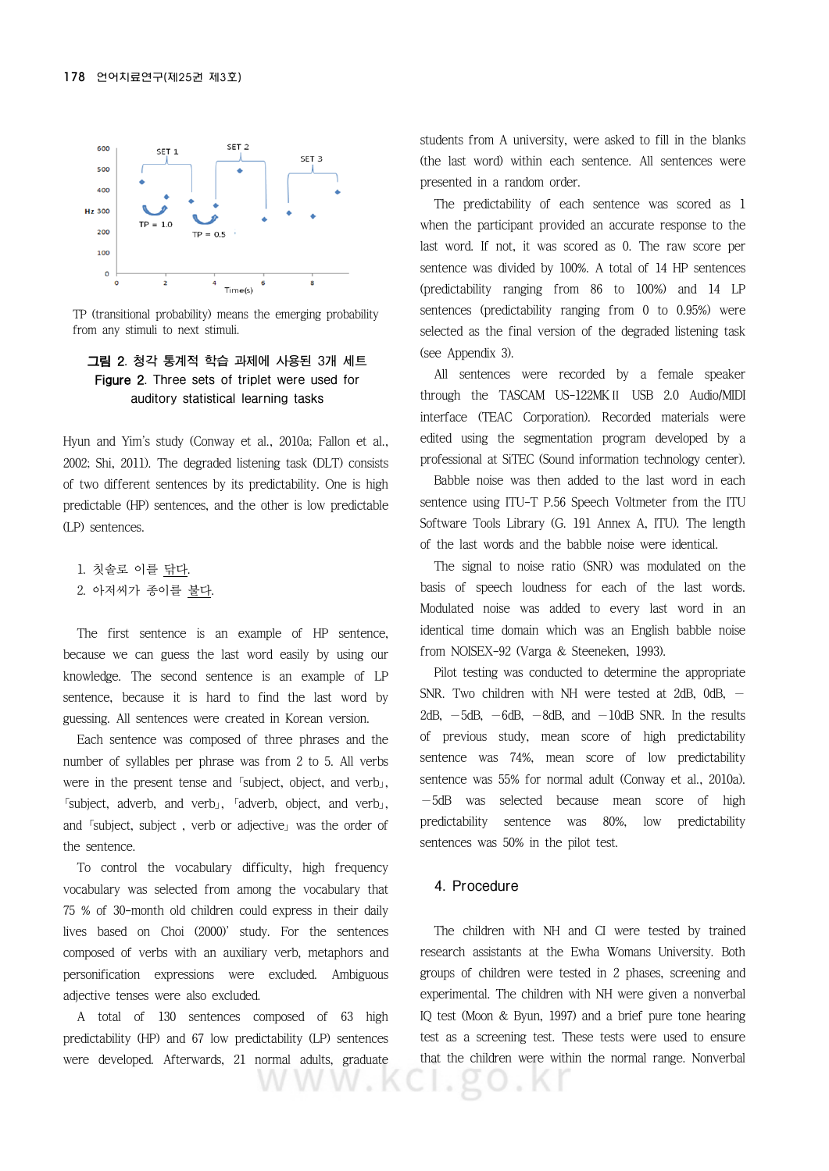

TP (transitional probability) means the emerging probability from any stimuli to next stimuli.

#### **그림 2. 청각 통계적 학습 과제에 사용된 3개 세트 Figure 2. Three sets of triplet were used for auditory statistical learning tasks**

Hyun and Yim's study (Conway et al., 2010a; Fallon et al., 2002; Shi, 2011). The degraded listening task (DLT) consists of two different sentences by its predictability. One is high predictable (HP) sentences, and the other is low predictable (LP) sentences.

- 1. 칫솔로 이를 <u>닦다</u>.
- 2. 아저씨가 종이를 불다.

The first sentence is an example of HP sentence, because we can guess the last word easily by using our knowledge. The second sentence is an example of LP sentence, because it is hard to find the last word by guessing. All sentences were created in Korean version.

Each sentence was composed of three phrases and the number of syllables per phrase was from 2 to 5. All verbs were in the present tense and 「subject, object, and verb」, 「subject, adverb, and verb」, 「adverb, object, and verb」, and 「subject, subject , verb or adjective」 was the order of the sentence.

To control the vocabulary difficulty, high frequency vocabulary was selected from among the vocabulary that 75 % of 30-month old children could express in their daily lives based on Choi (2000)' study. For the sentences composed of verbs with an auxiliary verb, metaphors and personification expressions were excluded. Ambiguous adjective tenses were also excluded.

A total of 130 sentences composed of 63 high predictability (HP) and 67 low predictability (LP) sentences were developed. Afterwards, 21 normal adults, graduate

www.k

students from A university, were asked to fill in the blanks (the last word) within each sentence. All sentences were presented in a random order.

The predictability of each sentence was scored as 1 when the participant provided an accurate response to the last word. If not, it was scored as 0. The raw score per sentence was divided by 100%. A total of 14 HP sentences (predictability ranging from 86 to 100%) and 14 LP sentences (predictability ranging from 0 to 0.95%) were selected as the final version of the degraded listening task (see Appendix 3).

All sentences were recorded by a female speaker through the TASCAM US-122MKⅡ USB 2.0 Audio/MIDI interface (TEAC Corporation). Recorded materials were edited using the segmentation program developed by a professional at SiTEC (Sound information technology center).

Babble noise was then added to the last word in each sentence using ITU-T P.56 Speech Voltmeter from the ITU Software Tools Library (G. 191 Annex A, ITU). The length of the last words and the babble noise were identical.

The signal to noise ratio (SNR) was modulated on the basis of speech loudness for each of the last words. Modulated noise was added to every last word in an identical time domain which was an English babble noise from NOISEX-92 (Varga & Steeneken, 1993).

Pilot testing was conducted to determine the appropriate SNR. Two children with NH were tested at 2dB, 0dB,  $-$ 2dB,  $-5$ dB,  $-6$ dB,  $-8$ dB, and  $-10$ dB SNR. In the results of previous study, mean score of high predictability sentence was 74%, mean score of low predictability sentence was 55% for normal adult (Conway et al., 2010a). −5dB was selected because mean score of high predictability sentence was 80%, low predictability sentences was 50% in the pilot test.

#### **4. Procedure**

The children with NH and CI were tested by trained research assistants at the Ewha Womans University. Both groups of children were tested in 2 phases, screening and experimental. The children with NH were given a nonverbal IQ test (Moon & Byun, 1997) and a brief pure tone hearing test as a screening test. These tests were used to ensure that the children were within the normal range. Nonverbal

 $\cdot$  K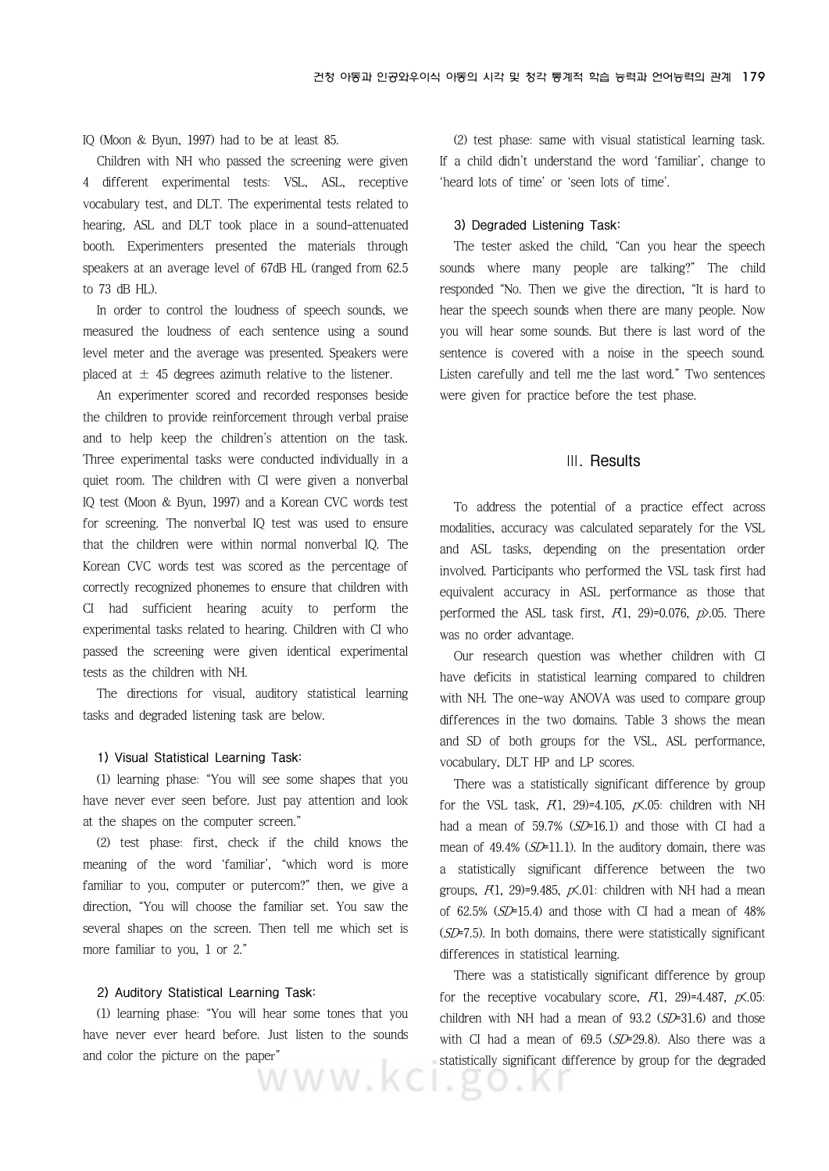#### IQ (Moon & Byun, 1997) had to be at least 85.

Children with NH who passed the screening were given 4 different experimental tests: VSL, ASL, receptive vocabulary test, and DLT. The experimental tests related to hearing, ASL and DLT took place in a sound-attenuated booth. Experimenters presented the materials through speakers at an average level of 67dB HL (ranged from 62.5 to 73 dB HL).

In order to control the loudness of speech sounds, we measured the loudness of each sentence using a sound level meter and the average was presented. Speakers were placed at  $\pm$  45 degrees azimuth relative to the listener.

An experimenter scored and recorded responses beside the children to provide reinforcement through verbal praise and to help keep the children's attention on the task. Three experimental tasks were conducted individually in a quiet room. The children with CI were given a nonverbal IQ test (Moon & Byun, 1997) and a Korean CVC words test for screening. The nonverbal IQ test was used to ensure that the children were within normal nonverbal IQ. The Korean CVC words test was scored as the percentage of correctly recognized phonemes to ensure that children with CI had sufficient hearing acuity to perform the experimental tasks related to hearing. Children with CI who passed the screening were given identical experimental tests as the children with NH.

The directions for visual, auditory statistical learning tasks and degraded listening task are below.

#### **1) Visual Statistical Learning Task:**

(1) learning phase: "You will see some shapes that you have never ever seen before. Just pay attention and look at the shapes on the computer screen."

(2) test phase: first, check if the child knows the meaning of the word 'familiar', "which word is more familiar to you, computer or putercom?" then, we give a direction, "You will choose the familiar set. You saw the several shapes on the screen. Then tell me which set is more familiar to you, 1 or 2."

#### **2) Auditory Statistical Learning Task:**

(1) learning phase: "You will hear some tones that you have never ever heard before. Just listen to the sounds and color the picture on the paper" statistics statistics

(2) test phase: same with visual statistical learning task. If a child didn't understand the word 'familiar', change to 'heard lots of time' or 'seen lots of time'.

#### **3) Degraded Listening Task:**

The tester asked the child, "Can you hear the speech sounds where many people are talking?" The child responded "No. Then we give the direction, "It is hard to hear the speech sounds when there are many people. Now you will hear some sounds. But there is last word of the sentence is covered with a noise in the speech sound. Listen carefully and tell me the last word." Two sentences were given for practice before the test phase.

#### **Ⅲ. Results**

To address the potential of a practice effect across modalities, accuracy was calculated separately for the VSL and ASL tasks, depending on the presentation order involved. Participants who performed the VSL task first had equivalent accuracy in ASL performance as those that performed the ASL task first,  $F(1, 29)=0.076$ ,  $p$ .05. There was no order advantage.

Our research question was whether children with CI have deficits in statistical learning compared to children with NH. The one-way ANOVA was used to compare group differences in the two domains. Table 3 shows the mean and SD of both groups for the VSL, ASL performance, vocabulary, DLT HP and LP scores.

There was a statistically significant difference by group for the VSL task,  $F(1, 29) = 4.105$ ,  $p\angle 05$ : children with NH had a mean of 59.7% (SD=16.1) and those with CI had a mean of 49.4% (SD=11.1). In the auditory domain, there was a statistically significant difference between the two groups,  $R1$ , 29)=9.485,  $p\mathsf{X}.01$ : children with NH had a mean of 62.5% (SD=15.4) and those with CI had a mean of 48%  $(SD=7.5)$ . In both domains, there were statistically significant differences in statistical learning.

There was a statistically significant difference by group for the receptive vocabulary score,  $F(1, 29) = 4.487$ ,  $p\angle 05$ : children with NH had a mean of  $93.2$  ( $SD=31.6$ ) and those with CI had a mean of  $69.5$  ( $SD=29.8$ ). Also there was a statistically significant difference by group for the degraded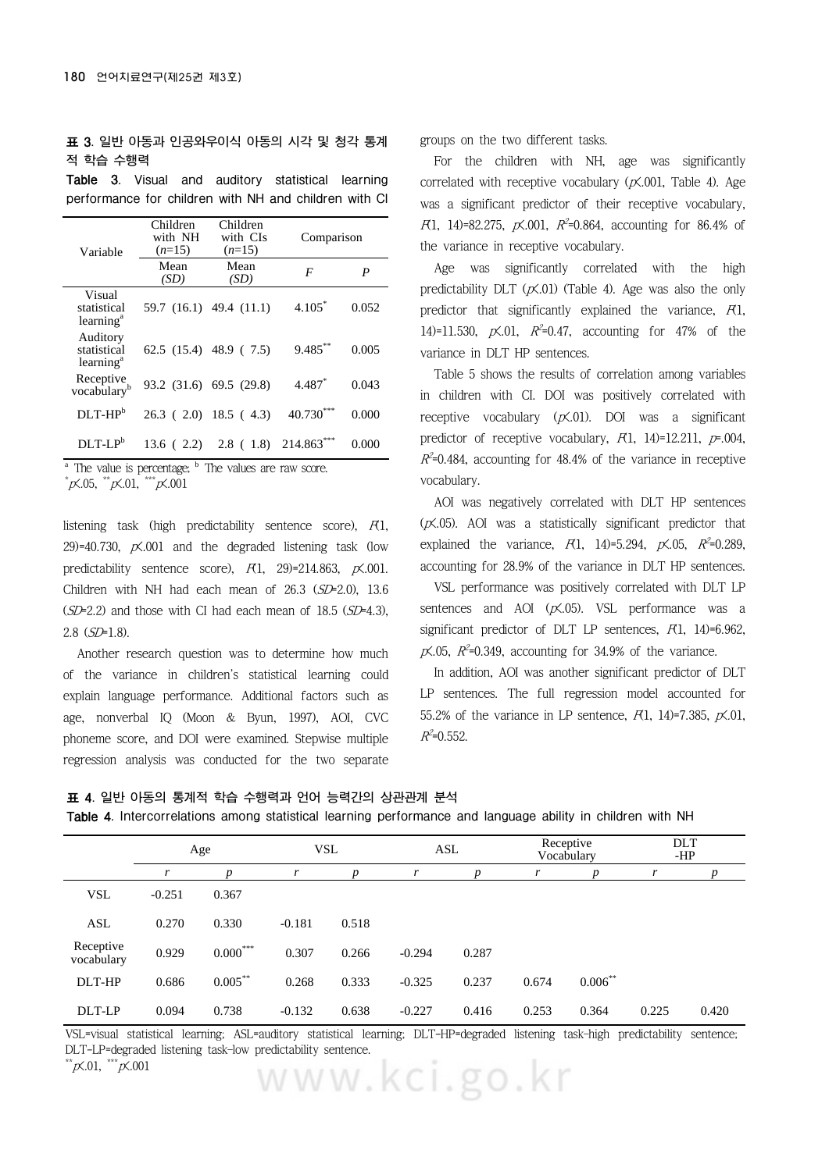#### **표 3. 일반 아동과 인공와우이식 아동의 시각 및 청각 통계 적 학습 수행력**

**Table 3. Visual and auditory statistical learning performance for children with NH and children with CI**

| Variable                                         | Children<br>with NH<br>$(n=15)$ | Children<br>with CIs<br>$(n=15)$ | Comparison |       |  |
|--------------------------------------------------|---------------------------------|----------------------------------|------------|-------|--|
|                                                  | Mean<br>(SD)                    | Mean<br>(SD)                     | F          | P     |  |
| Visual<br>statistical<br>learning <sup>a</sup>   |                                 | 59.7 (16.1) 49.4 (11.1)          | $4.105*$   | 0.052 |  |
| Auditory<br>statistical<br>learning <sup>a</sup> |                                 | 62.5 $(15.4)$ 48.9 $(7.5)$       | $9.485$ ** | 0.005 |  |
| Receptive<br>vocabulary <sup>b</sup>             |                                 | 93.2 (31.6) 69.5 (29.8)          | 4.487*     | 0.043 |  |
| $DLT-HPb$                                        |                                 | $26.3$ ( 2.0) 18.5 ( 4.3)        | 40.730     | 0.000 |  |
| $DI.T-I.Pb$                                      | 13.6(2.2)                       | 2.8(1.8)                         | 214.863*** | 0.000 |  |

 $\overline{a}$  The value is percentage;  $\overline{b}$  The values are raw score.

 $^{\ast}$ p $\!\times$ .05,  $^{\ast\ast}$ p $\!\times$ .01,  $^{\ast\ast}$ p $\!\times$ .001

listening task (high predictability sentence score),  $F(1)$ , 29)=40.730,  $p\mathsf{X}.001$  and the degraded listening task (low predictability sentence score),  $F(1, 29) = 214.863$ ,  $p\angle 001$ . Children with NH had each mean of  $26.3$  ( $SD=2.0$ ), 13.6  $(SD=2.2)$  and those with CI had each mean of 18.5  $(SD=4.3)$ , 2.8 (SD=1.8).

Another research question was to determine how much of the variance in children's statistical learning could explain language performance. Additional factors such as age, nonverbal IQ (Moon & Byun, 1997), AOI, CVC phoneme score, and DOI were examined. Stepwise multiple regression analysis was conducted for the two separate groups on the two different tasks.

For the children with NH, age was significantly correlated with receptive vocabulary  $(x \times 0.001,$  Table 4). Age was a significant predictor of their receptive vocabulary, F(1, 14)=82.275,  $\cancel{p}$ ,001,  $\cancel{R}^2$ =0.864, accounting for 86.4% of the variance in receptive vocabulary.

Age was significantly correlated with the high predictability DLT  $(x\zeta, 01)$  (Table 4). Age was also the only predictor that significantly explained the variance,  $F(1)$ , 14)=11.530,  $p\angle 0.01$ ,  $R^2=0.47$ , accounting for 47% of the variance in DLT HP sentences.

Table 5 shows the results of correlation among variables in children with CI. DOI was positively correlated with receptive vocabulary  $(p\mathsf{X}.01)$ . DOI was a significant predictor of receptive vocabulary,  $F(1, 14)=12.211$ ,  $p=0.004$ ,  $R^2$ =0.484, accounting for 48.4% of the variance in receptive vocabulary.

AOI was negatively correlated with DLT HP sentences  $(p<sub>x</sub>.05)$ . AOI was a statistically significant predictor that explained the variance,  $F(1, 14) = 5.294, p \times 0.05, R^2 = 0.289$ , accounting for 28.9% of the variance in DLT HP sentences.

VSL performance was positively correlated with DLT LP sentences and AOI  $(x \le 0.05)$ . VSL performance was a significant predictor of DLT LP sentences,  $R1$ , 14)=6.962,  $p\zeta$ .05,  $R^2$ =0.349, accounting for 34.9% of the variance.

In addition, AOI was another significant predictor of DLT LP sentences. The full regression model accounted for 55.2% of the variance in LP sentence,  $R1$ , 14)=7.385,  $p\mathsf{X}.01$ ,  $R^2$ =0.552.

|  |  | 표 4. 일반 아동의 통계적 학습 수행력과 언어 능력간의 상관관계 분석 |  |  |  |  |  |  |  |
|--|--|-----------------------------------------|--|--|--|--|--|--|--|
|--|--|-----------------------------------------|--|--|--|--|--|--|--|

|  | Table 4. Intercorrelations among statistical learning performance and language ability in children with NH |  |  |  |  |  |  |  |  |
|--|------------------------------------------------------------------------------------------------------------|--|--|--|--|--|--|--|--|
|--|------------------------------------------------------------------------------------------------------------|--|--|--|--|--|--|--|--|

|                         | Age      |                  | <b>VSL</b> |                  | <b>ASL</b> |       | Receptive<br>Vocabulary |                  | <b>DLT</b><br>-HP |       |
|-------------------------|----------|------------------|------------|------------------|------------|-------|-------------------------|------------------|-------------------|-------|
|                         |          | $\boldsymbol{D}$ |            | $\boldsymbol{D}$ | r          | D     | r                       | $\boldsymbol{p}$ |                   | p     |
| <b>VSL</b>              | $-0.251$ | 0.367            |            |                  |            |       |                         |                  |                   |       |
| <b>ASL</b>              | 0.270    | 0.330            | $-0.181$   | 0.518            |            |       |                         |                  |                   |       |
| Receptive<br>vocabulary | 0.929    | $0.000***$       | 0.307      | 0.266            | $-0.294$   | 0.287 |                         |                  |                   |       |
| DLT-HP                  | 0.686    | $0.005***$       | 0.268      | 0.333            | $-0.325$   | 0.237 | 0.674                   | $0.006***$       |                   |       |
| DLT-LP                  | 0.094    | 0.738            | $-0.132$   | 0.638            | $-0.227$   | 0.416 | 0.253                   | 0.364            | 0.225             | 0.420 |

VSL=visual statistical learning; ASL=auditory statistical learning; DLT-HP=degraded listening task–high predictability sentence; DLT-LP=degraded listening task–low predictability sentence.<br>\*\*p<.01, \*\*\*p<.001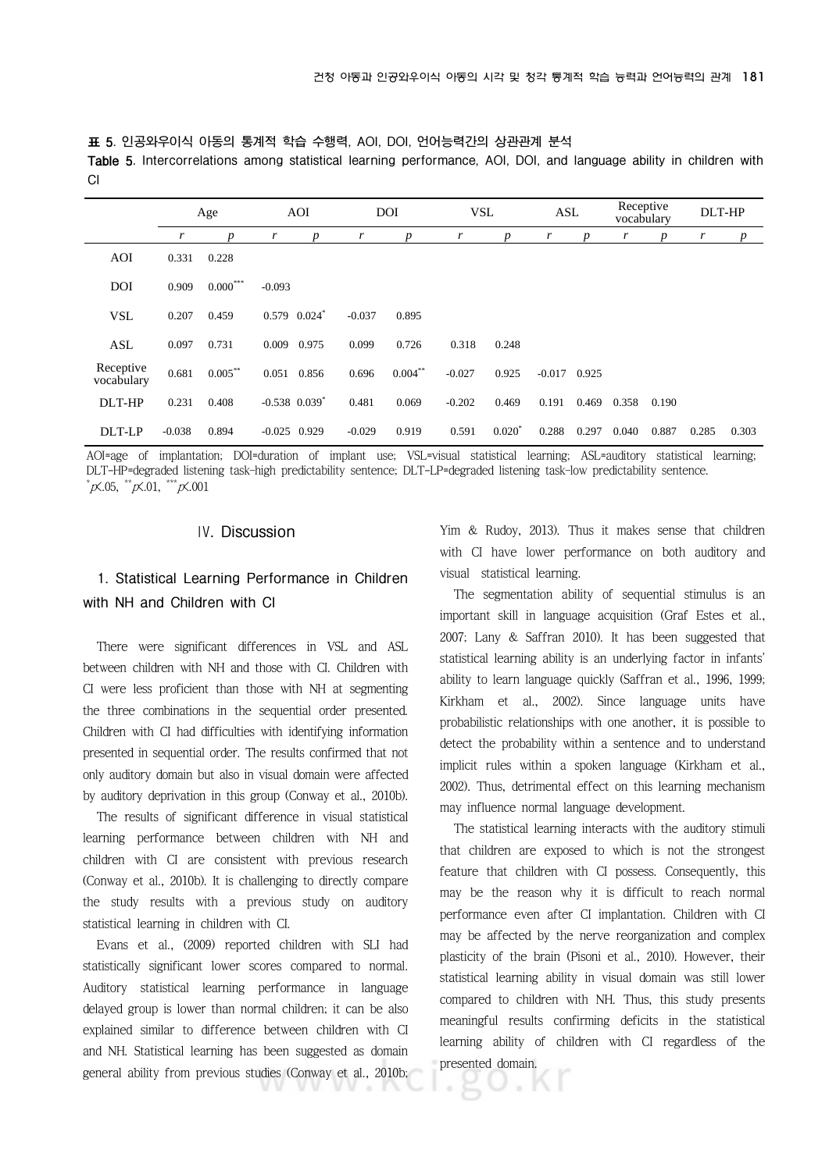**표 5. 인공와우이식 아동의 통계적 학습 수행력, AOI, DOI, 언어능력간의 상관관계 분석**

**Table 5. Intercorrelations among statistical learning performance, AOI, DOI, and language ability in children with CI** 

|                         |          | Age              |                               | <b>AOI</b>       |          | <b>DOI</b>       | <b>VSL</b> |                  | ASL      |       | Receptive<br>vocabulary |                  | DLT-HP |                  |
|-------------------------|----------|------------------|-------------------------------|------------------|----------|------------------|------------|------------------|----------|-------|-------------------------|------------------|--------|------------------|
|                         | r        | $\boldsymbol{p}$ | r                             | $\boldsymbol{p}$ | r        | $\boldsymbol{p}$ | r          | $\boldsymbol{p}$ |          | p     | r                       | $\boldsymbol{p}$ | r      | $\boldsymbol{p}$ |
| AOI                     | 0.331    | 0.228            |                               |                  |          |                  |            |                  |          |       |                         |                  |        |                  |
| <b>DOI</b>              | 0.909    | $0.000***$       | $-0.093$                      |                  |          |                  |            |                  |          |       |                         |                  |        |                  |
| <b>VSL</b>              | 0.207    | 0.459            | $0.579$ $0.024$ <sup>*</sup>  |                  | $-0.037$ | 0.895            |            |                  |          |       |                         |                  |        |                  |
| <b>ASL</b>              | 0.097    | 0.731            | 0.009                         | 0.975            | 0.099    | 0.726            | 0.318      | 0.248            |          |       |                         |                  |        |                  |
| Receptive<br>vocabulary | 0.681    | $0.005***$       | 0.051                         | 0.856            | 0.696    | $0.004***$       | $-0.027$   | 0.925            | $-0.017$ | 0.925 |                         |                  |        |                  |
| DLT-HP                  | 0.231    | 0.408            | $-0.538$ $0.039$ <sup>*</sup> |                  | 0.481    | 0.069            | $-0.202$   | 0.469            | 0.191    | 0.469 | 0.358                   | 0.190            |        |                  |
| DLT-LP                  | $-0.038$ | 0.894            | $-0.025$ 0.929                |                  | $-0.029$ | 0.919            | 0.591      | $0.020*$         | 0.288    | 0.297 | 0.040                   | 0.887            | 0.285  | 0.303            |

AOI=age of implantation; DOI=duration of implant use; VSL=visual statistical learning; ASL=auditory statistical learning; DLT-HP=degraded listening task–high predictability sentence; DLT-LP=degraded listening task–low predictability sentence. \*  $\gamma$ <sub>X</sub>.05,  $\gamma$ <sup>\*\*</sup> $\chi$ .01,  $\gamma$ <sup>\*\*\*</sup> $\chi$ .001

#### **Ⅳ. Discussion**

#### **1. Statistical Learning Performance in Children with NH and Children with CI**

There were significant differences in VSL and ASL between children with NH and those with CI. Children with CI were less proficient than those with NH at segmenting the three combinations in the sequential order presented. Children with CI had difficulties with identifying information presented in sequential order. The results confirmed that not only auditory domain but also in visual domain were affected by auditory deprivation in this group (Conway et al., 2010b).

The results of significant difference in visual statistical learning performance between children with NH and children with CI are consistent with previous research (Conway et al., 2010b). It is challenging to directly compare the study results with a previous study on auditory statistical learning in children with CI.

Evans et al., (2009) reported children with SLI had statistically significant lower scores compared to normal. Auditory statistical learning performance in language delayed group is lower than normal children; it can be also explained similar to difference between children with CI and NH. Statistical learning has been suggested as domain general ability from previous studies (Conway et al., 2010b; Yim & Rudoy, 2013). Thus it makes sense that children with CI have lower performance on both auditory and visual statistical learning.

The segmentation ability of sequential stimulus is an important skill in language acquisition (Graf Estes et al., 2007; Lany & Saffran 2010). It has been suggested that statistical learning ability is an underlying factor in infants' ability to learn language quickly (Saffran et al., 1996, 1999; Kirkham et al., 2002). Since language units have probabilistic relationships with one another, it is possible to detect the probability within a sentence and to understand implicit rules within a spoken language (Kirkham et al., 2002). Thus, detrimental effect on this learning mechanism may influence normal language development.

The statistical learning interacts with the auditory stimuli that children are exposed to which is not the strongest feature that children with CI possess. Consequently, this may be the reason why it is difficult to reach normal performance even after CI implantation. Children with CI may be affected by the nerve reorganization and complex plasticity of the brain (Pisoni et al., 2010). However, their statistical learning ability in visual domain was still lower compared to children with NH. Thus, this study presents meaningful results confirming deficits in the statistical learning ability of children with CI regardless of the presented domain.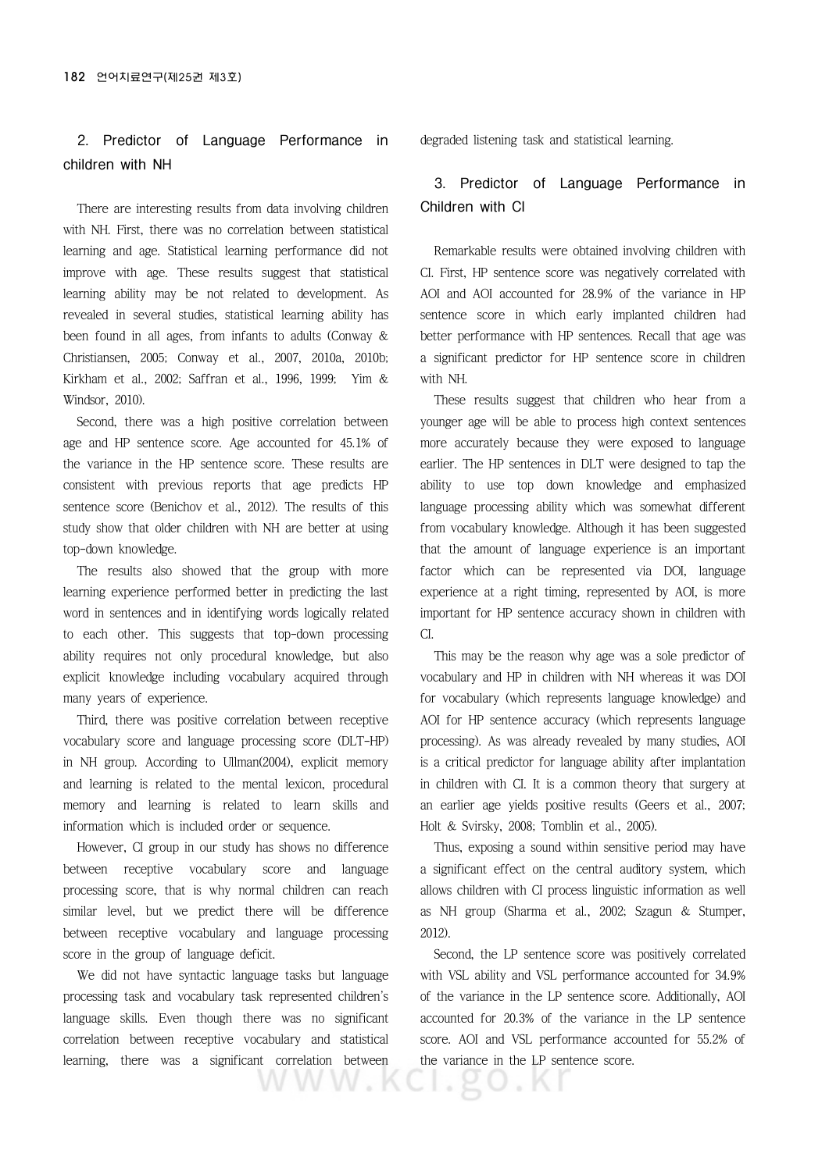#### **2. Predictor of Language Performance in children with NH**

There are interesting results from data involving children with NH. First, there was no correlation between statistical learning and age. Statistical learning performance did not improve with age. These results suggest that statistical learning ability may be not related to development. As revealed in several studies, statistical learning ability has been found in all ages, from infants to adults (Conway & Christiansen, 2005; Conway et al., 2007, 2010a, 2010b; Kirkham et al., 2002; Saffran et al., 1996, 1999; Yim & Windsor, 2010).

Second, there was a high positive correlation between age and HP sentence score. Age accounted for 45.1% of the variance in the HP sentence score. These results are consistent with previous reports that age predicts HP sentence score (Benichov et al., 2012). The results of this study show that older children with NH are better at using top-down knowledge.

The results also showed that the group with more learning experience performed better in predicting the last word in sentences and in identifying words logically related to each other. This suggests that top-down processing ability requires not only procedural knowledge, but also explicit knowledge including vocabulary acquired through many years of experience.

Third, there was positive correlation between receptive vocabulary score and language processing score (DLT-HP) in NH group. According to Ullman(2004), explicit memory and learning is related to the mental lexicon, procedural memory and learning is related to learn skills and information which is included order or sequence.

However, CI group in our study has shows no difference between receptive vocabulary score and language processing score, that is why normal children can reach similar level, but we predict there will be difference between receptive vocabulary and language processing score in the group of language deficit.

We did not have syntactic language tasks but language processing task and vocabulary task represented children's language skills. Even though there was no significant correlation between receptive vocabulary and statistical learning, there was a significant correlation between

ww.l

degraded listening task and statistical learning.

#### **3. Predictor of Language Performance in Children with CI**

Remarkable results were obtained involving children with CI. First, HP sentence score was negatively correlated with AOI and AOI accounted for 28.9% of the variance in HP sentence score in which early implanted children had better performance with HP sentences. Recall that age was a significant predictor for HP sentence score in children with NH.

These results suggest that children who hear from a younger age will be able to process high context sentences more accurately because they were exposed to language earlier. The HP sentences in DLT were designed to tap the ability to use top down knowledge and emphasized language processing ability which was somewhat different from vocabulary knowledge. Although it has been suggested that the amount of language experience is an important factor which can be represented via DOI, language experience at a right timing, represented by AOI, is more important for HP sentence accuracy shown in children with CI.

This may be the reason why age was a sole predictor of vocabulary and HP in children with NH whereas it was DOI for vocabulary (which represents language knowledge) and AOI for HP sentence accuracy (which represents language processing). As was already revealed by many studies, AOI is a critical predictor for language ability after implantation in children with CI. It is a common theory that surgery at an earlier age yields positive results (Geers et al., 2007; Holt & Svirsky, 2008; Tomblin et al., 2005).

Thus, exposing a sound within sensitive period may have a significant effect on the central auditory system, which allows children with CI process linguistic information as well as NH group (Sharma et al., 2002; Szagun & Stumper, 2012).

Second, the LP sentence score was positively correlated with VSL ability and VSL performance accounted for 34.9% of the variance in the LP sentence score. Additionally, AOI accounted for 20.3% of the variance in the LP sentence score. AOI and VSL performance accounted for 55.2% of the variance in the LP sentence score.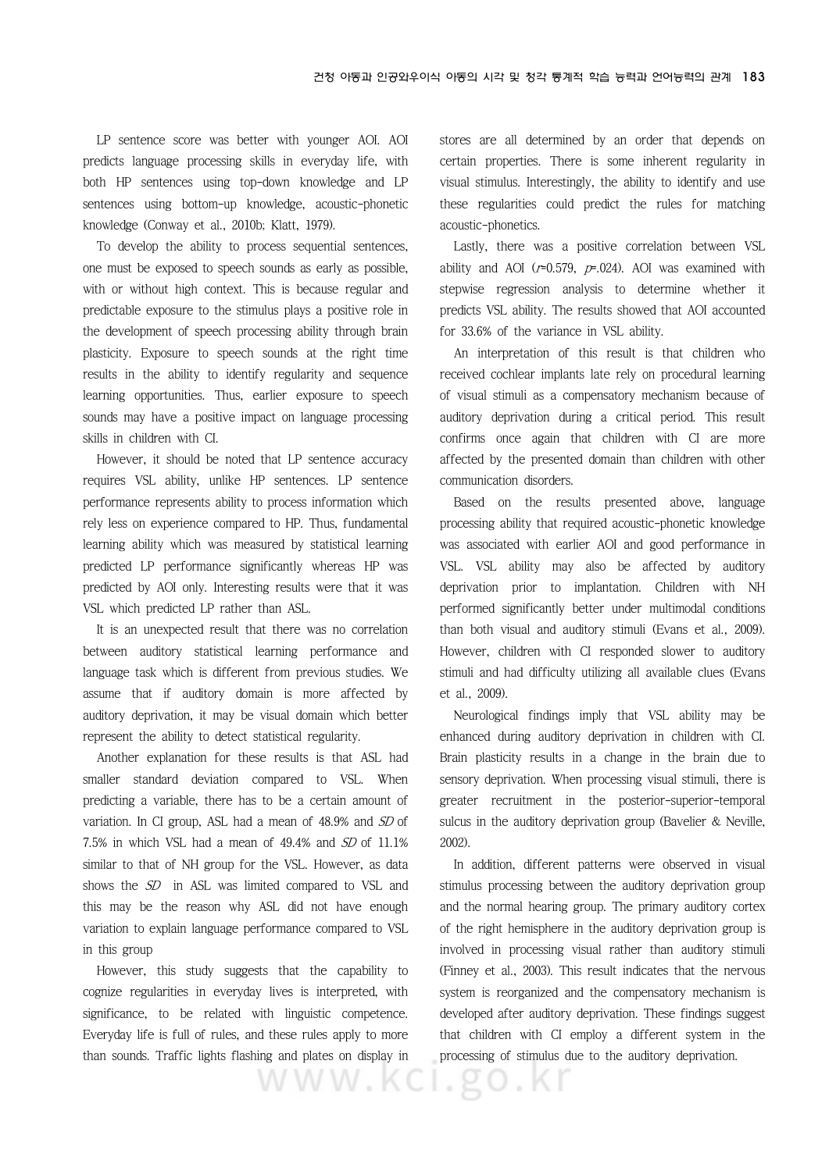LP sentence score was better with younger AOI. AOI predicts language processing skills in everyday life, with both HP sentences using top-down knowledge and LP sentences using bottom-up knowledge, acoustic-phonetic knowledge (Conway et al., 2010b; Klatt, 1979).

To develop the ability to process sequential sentences, one must be exposed to speech sounds as early as possible, with or without high context. This is because regular and predictable exposure to the stimulus plays a positive role in the development of speech processing ability through brain plasticity. Exposure to speech sounds at the right time results in the ability to identify regularity and sequence learning opportunities. Thus, earlier exposure to speech sounds may have a positive impact on language processing skills in children with CI.

However, it should be noted that LP sentence accuracy requires VSL ability, unlike HP sentences. LP sentence performance represents ability to process information which rely less on experience compared to HP. Thus, fundamental learning ability which was measured by statistical learning predicted LP performance significantly whereas HP was predicted by AOI only. Interesting results were that it was VSL which predicted LP rather than ASL.

It is an unexpected result that there was no correlation between auditory statistical learning performance and language task which is different from previous studies. We assume that if auditory domain is more affected by auditory deprivation, it may be visual domain which better represent the ability to detect statistical regularity.

Another explanation for these results is that ASL had smaller standard deviation compared to VSL. When predicting a variable, there has to be a certain amount of variation. In CI group, ASL had a mean of 48.9% and SD of 7.5% in which VSL had a mean of 49.4% and SD of 11.1% similar to that of NH group for the VSL. However, as data shows the SD in ASL was limited compared to VSL and this may be the reason why ASL did not have enough variation to explain language performance compared to VSL in this group

However, this study suggests that the capability to cognize regularities in everyday lives is interpreted, with significance, to be related with linguistic competence. Everyday life is full of rules, and these rules apply to more than sounds. Traffic lights flashing and plates on display in stores are all determined by an order that depends on certain properties. There is some inherent regularity in visual stimulus. Interestingly, the ability to identify and use these regularities could predict the rules for matching acoustic-phonetics.

Lastly, there was a positive correlation between VSL ability and AOI ( $r=0.579$ ,  $p=0.024$ ). AOI was examined with stepwise regression analysis to determine whether it predicts VSL ability. The results showed that AOI accounted for 33.6% of the variance in VSL ability.

An interpretation of this result is that children who received cochlear implants late rely on procedural learning of visual stimuli as a compensatory mechanism because of auditory deprivation during a critical period. This result confirms once again that children with CI are more affected by the presented domain than children with other communication disorders.

Based on the results presented above, language processing ability that required acoustic-phonetic knowledge was associated with earlier AOI and good performance in VSL. VSL ability may also be affected by auditory deprivation prior to implantation. Children with NH performed significantly better under multimodal conditions than both visual and auditory stimuli (Evans et al., 2009). However, children with CI responded slower to auditory stimuli and had difficulty utilizing all available clues (Evans et al., 2009).

Neurological findings imply that VSL ability may be enhanced during auditory deprivation in children with CI. Brain plasticity results in a change in the brain due to sensory deprivation. When processing visual stimuli, there is greater recruitment in the posterior-superior-temporal sulcus in the auditory deprivation group (Bavelier & Neville, 2002).

In addition, different patterns were observed in visual stimulus processing between the auditory deprivation group and the normal hearing group. The primary auditory cortex of the right hemisphere in the auditory deprivation group is involved in processing visual rather than auditory stimuli (Finney et al., 2003). This result indicates that the nervous system is reorganized and the compensatory mechanism is developed after auditory deprivation. These findings suggest that children with CI employ a different system in the processing of stimulus due to the auditory deprivation.

WWW.KCI.go.Kr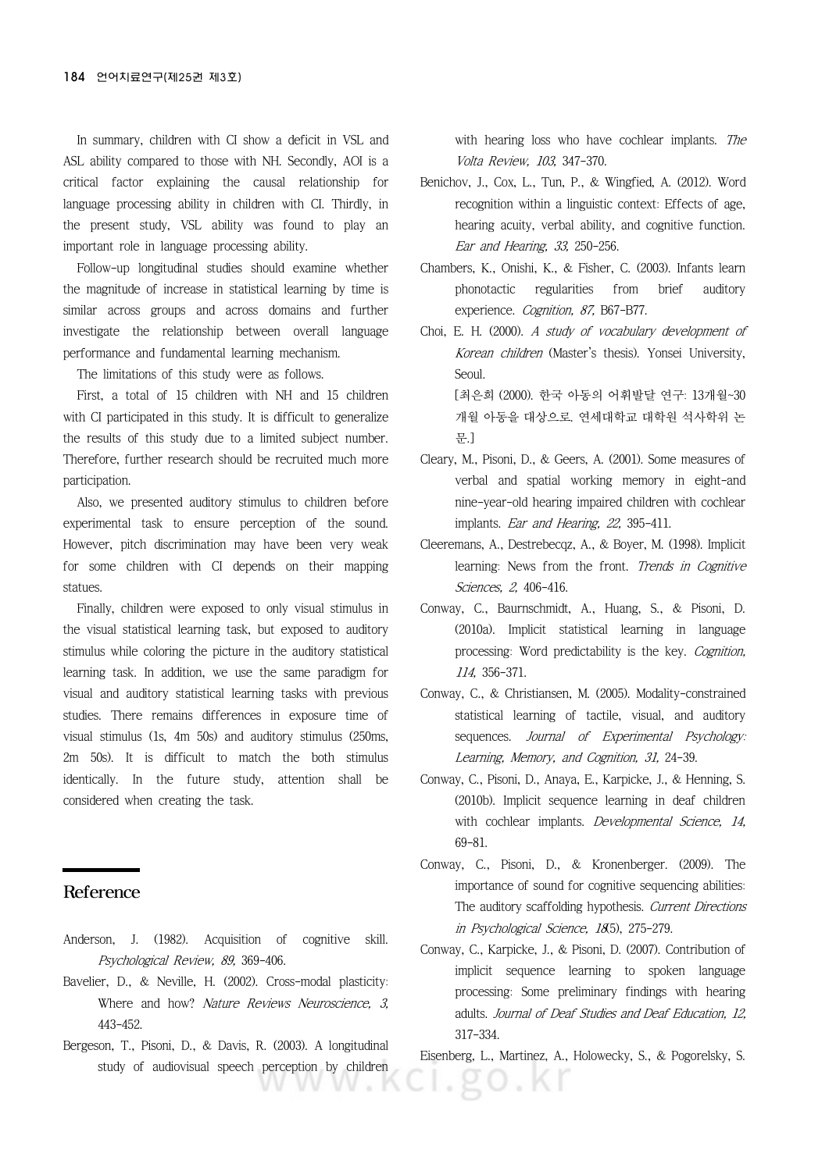In summary, children with CI show a deficit in VSL and ASL ability compared to those with NH. Secondly, AOI is a critical factor explaining the causal relationship for language processing ability in children with CI. Thirdly, in the present study, VSL ability was found to play an important role in language processing ability.

Follow-up longitudinal studies should examine whether the magnitude of increase in statistical learning by time is similar across groups and across domains and further investigate the relationship between overall language performance and fundamental learning mechanism.

The limitations of this study were as follows.

First, a total of 15 children with NH and 15 children with CI participated in this study. It is difficult to generalize the results of this study due to a limited subject number. Therefore, further research should be recruited much more participation.

Also, we presented auditory stimulus to children before experimental task to ensure perception of the sound. However, pitch discrimination may have been very weak for some children with CI depends on their mapping statues.

Finally, children were exposed to only visual stimulus in the visual statistical learning task, but exposed to auditory stimulus while coloring the picture in the auditory statistical learning task. In addition, we use the same paradigm for visual and auditory statistical learning tasks with previous studies. There remains differences in exposure time of visual stimulus (1s, 4m 50s) and auditory stimulus (250ms, 2m 50s). It is difficult to match the both stimulus identically. In the future study, attention shall be considered when creating the task.

#### Reference

- Anderson, J. (1982). Acquisition of cognitive skill. Psychological Review, 89, 369-406.
- Bavelier, D., & Neville, H. (2002). Cross-modal plasticity: Where and how? Nature Reviews Neuroscience, 3, 443-452.
- Bergeson, T., Pisoni, D., & Davis, R. (2003). A longitudinal study of audiovisual speech perception by children

with hearing loss who have cochlear implants. The Volta Review, 103, 347-370.

- Benichov, J., Cox, L., Tun, P., & Wingfied, A. (2012). Word recognition within a linguistic context: Effects of age, hearing acuity, verbal ability, and cognitive function. Ear and Hearing, 33, 250-256.
- Chambers, K., Onishi, K., & Fisher, C. (2003). Infants learn phonotactic regularities from brief auditory experience. Cognition, 87, B67-B77.
- Choi, E. H. (2000). A study of vocabulary development of Korean children (Master's thesis). Yonsei University, Seoul.

[최은희 (2000). 한국 아동의 어휘발달 연구: 13개월~30 개월 아동을 대상으로. 연세대학교 대학원 석사학위 논 문.]

- Cleary, M., Pisoni, D., & Geers, A. (2001). Some measures of verbal and spatial working memory in eight-and nine-year-old hearing impaired children with cochlear implants. Ear and Hearing, 22, 395-411.
- Cleeremans, A., Destrebecqz, A., & Boyer, M. (1998). Implicit learning: News from the front. Trends in Cognitive Sciences, 2, 406-416.
- Conway, C., Baurnschmidt, A., Huang, S., & Pisoni, D. (2010a). Implicit statistical learning in language processing: Word predictability is the key. Cognition, 114, 356-371.
- Conway, C., & Christiansen, M. (2005). Modality-constrained statistical learning of tactile, visual, and auditory sequences. Journal of Experimental Psychology: Learning, Memory, and Cognition, 31, 24-39.
- Conway, C., Pisoni, D., Anaya, E., Karpicke, J., & Henning, S. (2010b). Implicit sequence learning in deaf children with cochlear implants. Developmental Science, 14, 69-81.
- Conway, C., Pisoni, D., & Kronenberger. (2009). The importance of sound for cognitive sequencing abilities: The auditory scaffolding hypothesis. Current Directions in Psychological Science, 18(5), 275-279.
- Conway, C., Karpicke, J., & Pisoni, D. (2007). Contribution of implicit sequence learning to spoken language processing: Some preliminary findings with hearing adults. Journal of Deaf Studies and Deaf Education, 12, 317-334.

Eisenberg, L., Martinez, A., Holowecky, S., & Pogorelsky, S.

20.KI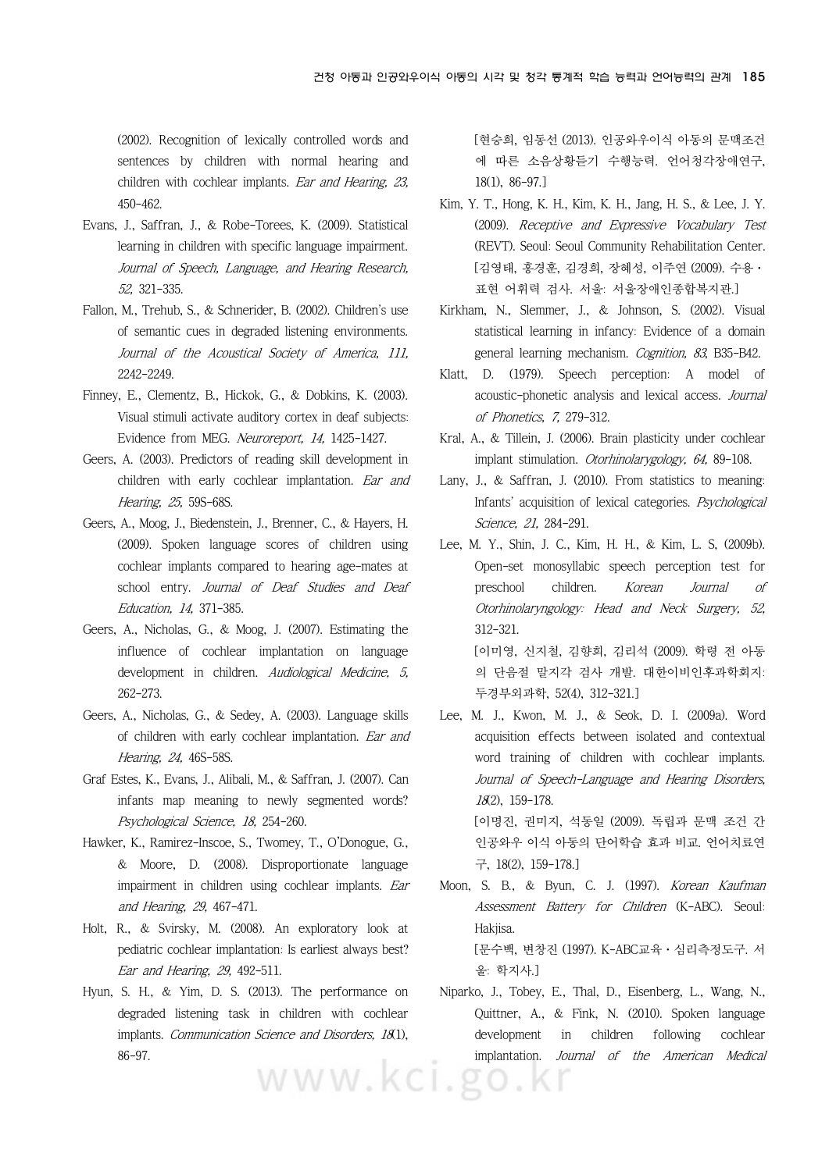(2002). Recognition of lexically controlled words and sentences by children with normal hearing and children with cochlear implants. Ear and Hearing, 23, 450-462.

- Evans, J., Saffran, J., & Robe-Torees, K. (2009). Statistical learning in children with specific language impairment. Journal of Speech, Language, and Hearing Research, 52, 321-335.
- Fallon, M., Trehub, S., & Schnerider, B. (2002). Children's use of semantic cues in degraded listening environments. Journal of the Acoustical Society of America, 111, 2242-2249.
- Finney, E., Clementz, B., Hickok, G., & Dobkins, K. (2003). Visual stimuli activate auditory cortex in deaf subjects: Evidence from MEG. Neuroreport, 14, 1425-1427.
- Geers, A. (2003). Predictors of reading skill development in children with early cochlear implantation. Ear and Hearing, 25, 59S-68S.
- Geers, A., Moog, J., Biedenstein, J., Brenner, C., & Hayers, H. (2009). Spoken language scores of children using cochlear implants compared to hearing age-mates at school entry. Journal of Deaf Studies and Deaf Education, 14, 371-385.
- Geers, A., Nicholas, G., & Moog, J. (2007). Estimating the influence of cochlear implantation on language development in children. Audiological Medicine, 5, 262-273.
- Geers, A., Nicholas, G., & Sedey, A. (2003). Language skills of children with early cochlear implantation. Ear and Hearing, 24, 46S-58S.
- Graf Estes, K., Evans, J., Alibali, M., & Saffran, J. (2007). Can infants map meaning to newly segmented words? Psychological Science, 18, 254-260.
- Hawker, K., Ramirez-Inscoe, S., Twomey, T., O'Donogue, G., & Moore, D. (2008). Disproportionate language impairment in children using cochlear implants. Ear and Hearing, 29, 467-471.
- Holt, R., & Svirsky, M. (2008). An exploratory look at pediatric cochlear implantation: Is earliest always best? Ear and Hearing, 29, 492-511.
- Hyun, S. H., & Yim, D. S. (2013). The performance on degraded listening task in children with cochlear implants. Communication Science and Disorders, 181), 86-97.

[현승희, 임동선 (2013). 인공와우이식 아동의 문맥조건 에 따른 소음상황듣기 수행능력. 언어청각장애연구, 18(1), 86-97.]

- Kim, Y. T., Hong, K. H., Kim, K. H., Jang, H. S., & Lee, J. Y. (2009). Receptive and Expressive Vocabulary Test (REVT). Seoul: Seoul Community Rehabilitation Center. [김영태, 홍경훈, 김경희, 장혜성, 이주연 (2009). 수용· 표현 어휘력 검사. 서울: 서울장애인종합복지관.]
- Kirkham, N., Slemmer, J., & Johnson, S. (2002). Visual statistical learning in infancy: Evidence of a domain general learning mechanism. Cognition, 83, B35-B42.
- Klatt, D. (1979). Speech perception: A model of acoustic-phonetic analysis and lexical access. Journal of Phonetics, 7, 279-312.
- Kral, A., & Tillein, J. (2006). Brain plasticity under cochlear implant stimulation. Otorhinolarygology, 64, 89-108.
- Lany, J., & Saffran, J. (2010). From statistics to meaning: Infants' acquisition of lexical categories. Psychological Science, 21, 284-291.
- Lee, M. Y., Shin, J. C., Kim, H. H., & Kim, L. S, (2009b). Open-set monosyllabic speech perception test for preschool children. Korean Journal of Otorhinolaryngology: Head and Neck Surgery, 52, 312-321. [이미영, 신지철, 김향희, 김리석 (2009). 학령 전 아동 의 단음절 말지각 검사 개발. 대한이비인후과학회지: 두경부외과학, 52(4), 312-321.]
- Lee, M. J., Kwon, M. J., & Seok, D. I. (2009a). Word acquisition effects between isolated and contextual word training of children with cochlear implants. Journal of Speech-Language and Hearing Disorders, 18(2), 159-178. [이명진, 권미지, 석동일 (2009). 독립과 문맥 조건 간 인공와우 이식 아동의 단어학습 효과 비교. 언어치료연

구, 18(2), 159-178.]

- Moon, S. B., & Byun, C. J. (1997). Korean Kaufman Assessment Battery for Children (K-ABC). Seoul: Hakjisa. [문수백, 변창진 (1997). K-ABC교육·심리측정도구. 서 울: 학지사.]
- Niparko, J., Tobey, E., Thal, D., Eisenberg, L., Wang, N., Quittner, A., & Fink, N. (2010). Spoken language development in children following cochlear implantation. Journal of the American Medical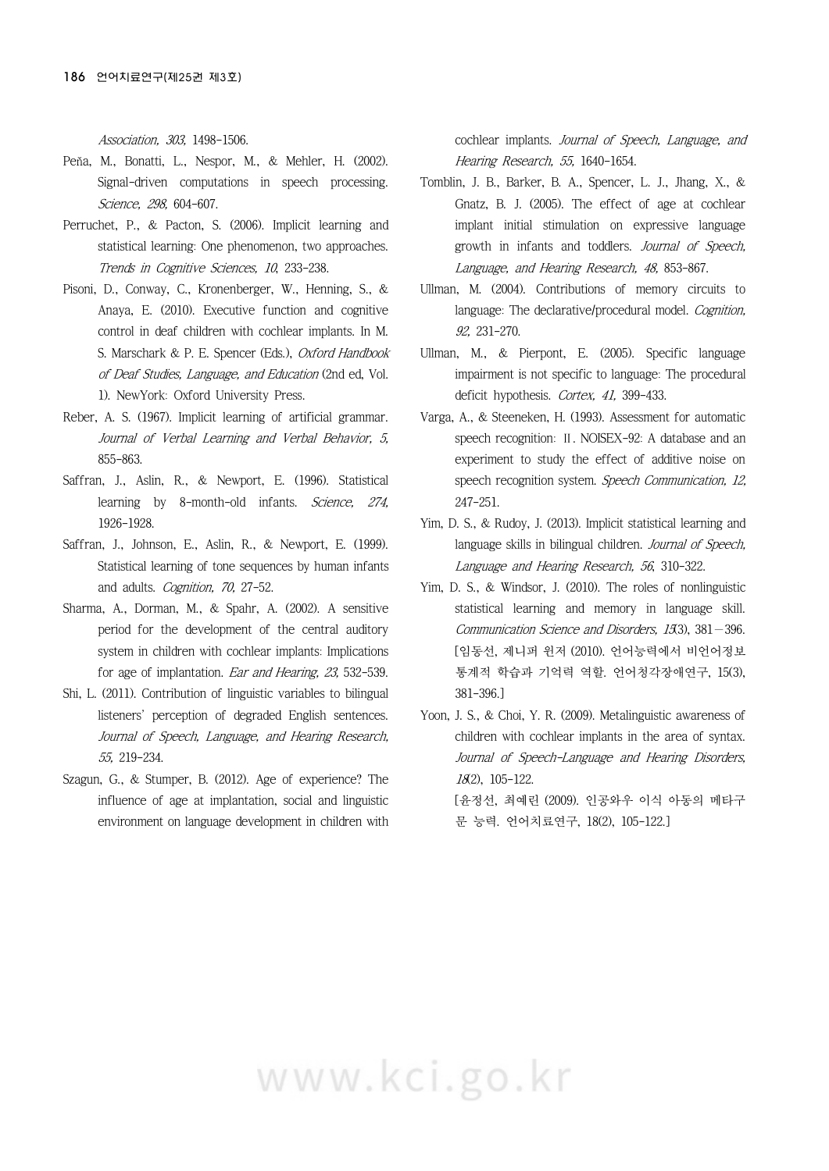Association, 303, 1498-1506.

- Peňa, M., Bonatti, L., Nespor, M., & Mehler, H. (2002). Signal-driven computations in speech processing. Science, 298, 604-607.
- Perruchet, P., & Pacton, S. (2006). Implicit learning and statistical learning: One phenomenon, two approaches. Trends in Cognitive Sciences, 10, 233-238.
- Pisoni, D., Conway, C., Kronenberger, W., Henning, S., & Anaya, E. (2010). Executive function and cognitive control in deaf children with cochlear implants. In M. S. Marschark & P. E. Spencer (Eds.), Oxford Handbook of Deaf Studies, Language, and Education (2nd ed, Vol. 1). NewYork: Oxford University Press.
- Reber, A. S. (1967). Implicit learning of artificial grammar. Journal of Verbal Learning and Verbal Behavior, 5, 855-863.
- Saffran, J., Aslin, R., & Newport, E. (1996). Statistical learning by 8-month-old infants. Science, 274, 1926-1928.
- Saffran, J., Johnson, E., Aslin, R., & Newport, E. (1999). Statistical learning of tone sequences by human infants and adults. Cognition, 70, 27-52.
- Sharma, A., Dorman, M., & Spahr, A. (2002). A sensitive period for the development of the central auditory system in children with cochlear implants: Implications for age of implantation. Ear and Hearing, 23, 532-539.
- Shi, L. (2011). Contribution of linguistic variables to bilingual listeners' perception of degraded English sentences. Journal of Speech, Language, and Hearing Research, 55, 219-234.
- Szagun, G., & Stumper, B. (2012). Age of experience? The influence of age at implantation, social and linguistic environment on language development in children with

cochlear implants. Journal of Speech, Language, and Hearing Research, 55, 1640-1654.

- Tomblin, J. B., Barker, B. A., Spencer, L. J., Jhang, X., & Gnatz, B. J. (2005). The effect of age at cochlear implant initial stimulation on expressive language growth in infants and toddlers. Journal of Speech, Language, and Hearing Research, 48, 853-867.
- Ullman, M. (2004). Contributions of memory circuits to language: The declarative/procedural model. Cognition, 92, 231-270.
- Ullman, M., & Pierpont, E. (2005). Specific language impairment is not specific to language: The procedural deficit hypothesis. Cortex, 41, 399-433.
- Varga, A., & Steeneken, H. (1993). Assessment for automatic speech recognition: Ⅱ. NOISEX-92: A database and an experiment to study the effect of additive noise on speech recognition system. Speech Communication, 12, 247-251.
- Yim, D. S., & Rudoy, J. (2013). Implicit statistical learning and language skills in bilingual children. Journal of Speech, Language and Hearing Research, 56, 310-322.
- Yim, D. S., & Windsor, J. (2010). The roles of nonlinguistic statistical learning and memory in language skill. Communication Science and Disorders, 15(3), 381 - 396. [임동선, 제니퍼 윈저 (2010). 언어능력에서 비언어정보 통계적 학습과 기억력 역할. 언어청각장애연구, 15(3), 381-396.]
- Yoon, J. S., & Choi, Y. R. (2009). Metalinguistic awareness of children with cochlear implants in the area of syntax. Journal of Speech-Language and Hearing Disorders, 18(2), 105-122. [윤정선, 최예린 (2009). 인공와우 이식 아동의 메타구

문 능력. 언어치료연구, 18(2), 105-122.]

# www.kci.go.kr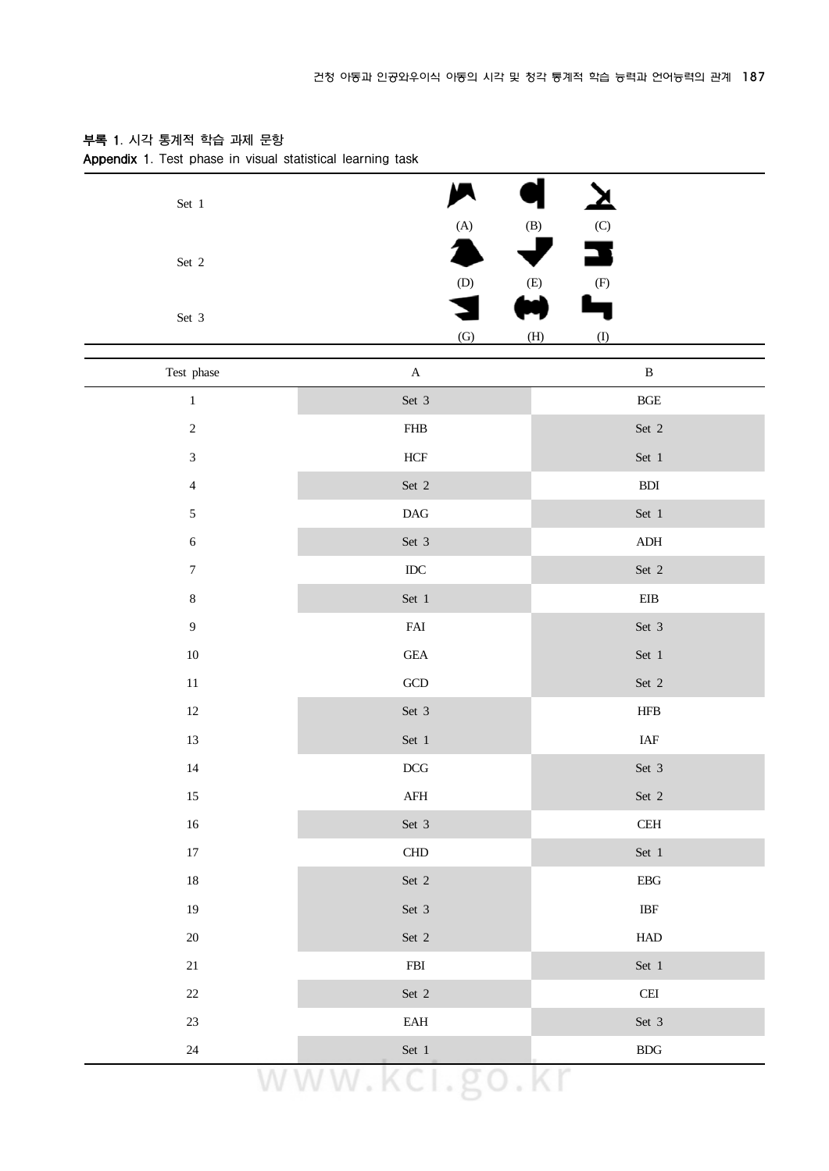| Set $\,1$                   |                             |                                              |
|-----------------------------|-----------------------------|----------------------------------------------|
|                             | (A)                         | $\left( \mathrm{B}\right)$<br>$(\mathrm{C})$ |
| Set 2                       |                             |                                              |
|                             | $\left( \mathrm{D}\right)$  | $\rm (E)$<br>$\left( \mathrm{F}\right)$      |
| Set 3                       |                             |                                              |
|                             | (G)                         | (H)<br>(1)                                   |
| Test phase                  | $\mathbf A$                 | $\, {\bf B}$                                 |
| $\,1\,$                     | Set 3                       | $\operatorname{BGE}$                         |
| $\sqrt{2}$                  | ${\sf FHB}$                 | Set $\sqrt{2}$                               |
| $\ensuremath{\mathfrak{Z}}$ | ${\rm HCF}$                 | Set 1                                        |
| $\overline{4}$              | Set 2                       | ${\bf B} {\bf D} {\bf I}$                    |
| $\sqrt{5}$                  | $\mathop{\rm DAG}$          | Set 1                                        |
| $\sqrt{6}$                  | Set 3                       | ${\sf ADH}$                                  |
| $\boldsymbol{7}$            | $\rm{IDC}$                  | Set 2                                        |
| $\,8\,$                     | Set 1                       | ${\rm EIB}$                                  |
| $\boldsymbol{9}$            | ${\rm FAI}$                 | Set 3                                        |
| $10\,$                      | $\operatorname{GE\!A}$      | Set 1                                        |
| $11\,$                      | $\operatorname{GCD}$        | Set $\sqrt{2}$                               |
| $12\,$                      | Set 3                       | <b>HFB</b>                                   |
| $13\,$                      | Set 1                       | $\ensuremath{\mathsf{IAF}}$                  |
| 14                          | $DCG$                       | Set 3                                        |
| 15                          | ${\rm AFH}$                 | Set 2                                        |
| $16\,$                      | Set 3                       | $\operatorname{CEH}$                         |
| $17\,$                      | ${\rm CHD}$                 | Set 1                                        |
| $18\,$                      | Set 2                       | ${\rm EBG}$                                  |
| 19                          | Set 3                       | $\operatorname{IBF}$                         |
| $20\,$                      | Set $\sqrt{2}$              | ${\rm HAD}$                                  |
| 21                          | ${\rm FBI}$                 | Set 1                                        |
| $22\,$                      | Set 2                       | $\operatorname{CEI}$                         |
| 23                          | $\ensuremath{\mathrm{EAH}}$ | Set 3                                        |

### **부록 1. 시각 통계적 학습 과제 문항**

**Appendix 1. Test phase in visual statistical learning task**

24 Set 1 BDG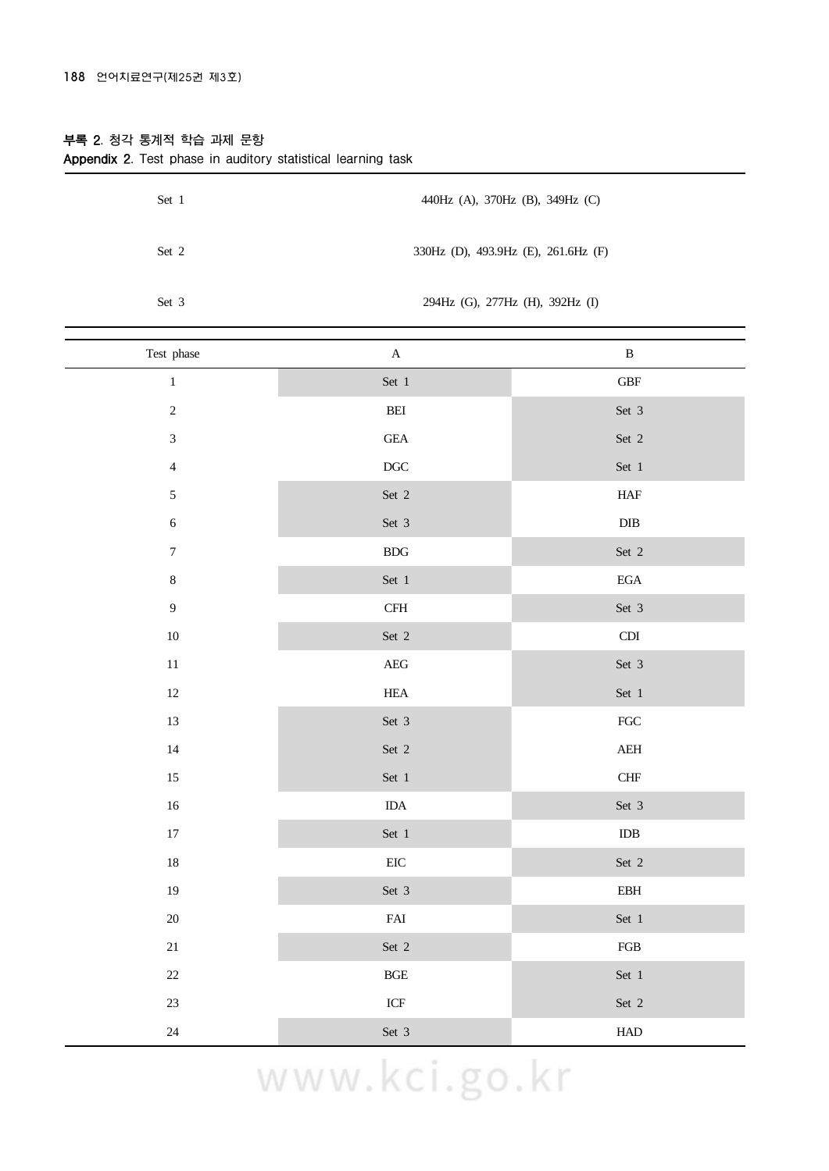#### **부록 2. 청각 통계적 학습 과제 문항**

| Set 1 | 440Hz (A), 370Hz (B), 349Hz (C)     |
|-------|-------------------------------------|
| Set 2 | 330Hz (D), 493.9Hz (E), 261.6Hz (F) |
| Set 3 | 294Hz (G), 277Hz (H), 392Hz (I)     |

**Appendix 2. Test phase in auditory statistical learning task**

| Test phase       | $\mathbf A$                          | $\, {\bf B}$                     |
|------------------|--------------------------------------|----------------------------------|
| $\,1$            | Set 1                                | $\operatorname{GBF}$             |
| $\sqrt{2}$       | $\operatorname{BEI}$                 | Set 3                            |
| $\mathfrak{Z}$   | $\operatorname{GEA}$                 | Set 2                            |
| $\overline{4}$   | $\rm DGC$                            | Set 1                            |
| $\mathfrak{S}$   | Set 2                                | ${\rm HAF}$                      |
| $\sqrt{6}$       | Set 3                                | ${\rm DIB}$                      |
| $\boldsymbol{7}$ | ${\rm BDG}$                          | Set 2                            |
| $8\,$            | Set 1                                | $_{\rm EGA}$                     |
| $\overline{9}$   | $\operatorname{CFH}$                 | Set 3                            |
| $10\,$           | Set 2                                | $\mathop{\rm CDI}\nolimits$      |
| $11\,$           | $\rm{AEG}$                           | Set 3                            |
| $12\,$           | ${\rm HEA}$                          | Set 1                            |
| 13               | Set 3                                | ${\rm FGC}$                      |
| $14\,$           | Set 2                                | $\mathbf{A}\mathbf{E}\mathbf{H}$ |
| $15\,$           | Set 1                                | ${\rm CHF}$                      |
| $16\,$           | $IDA$                                | Set 3                            |
| $17\,$           | Set 1                                | $\rm{IDB}$                       |
| $18\,$           | $\rm{EIC}$                           | Set 2                            |
| 19               | Set 3                                | $\operatorname{EBH}$             |
| $20\,$           | ${\rm FAI}$                          | Set 1                            |
| $21\,$           | Set 2                                | ${\rm FGB}$                      |
| $22\,$           | $\operatorname{BGE}$                 | Set 1                            |
| $23\,$           | $\ensuremath{\textup{\textbf{ICF}}}$ | Set 2                            |
| 24               | Set 3                                | ${\rm HAD}$                      |

# www.kci.go.kr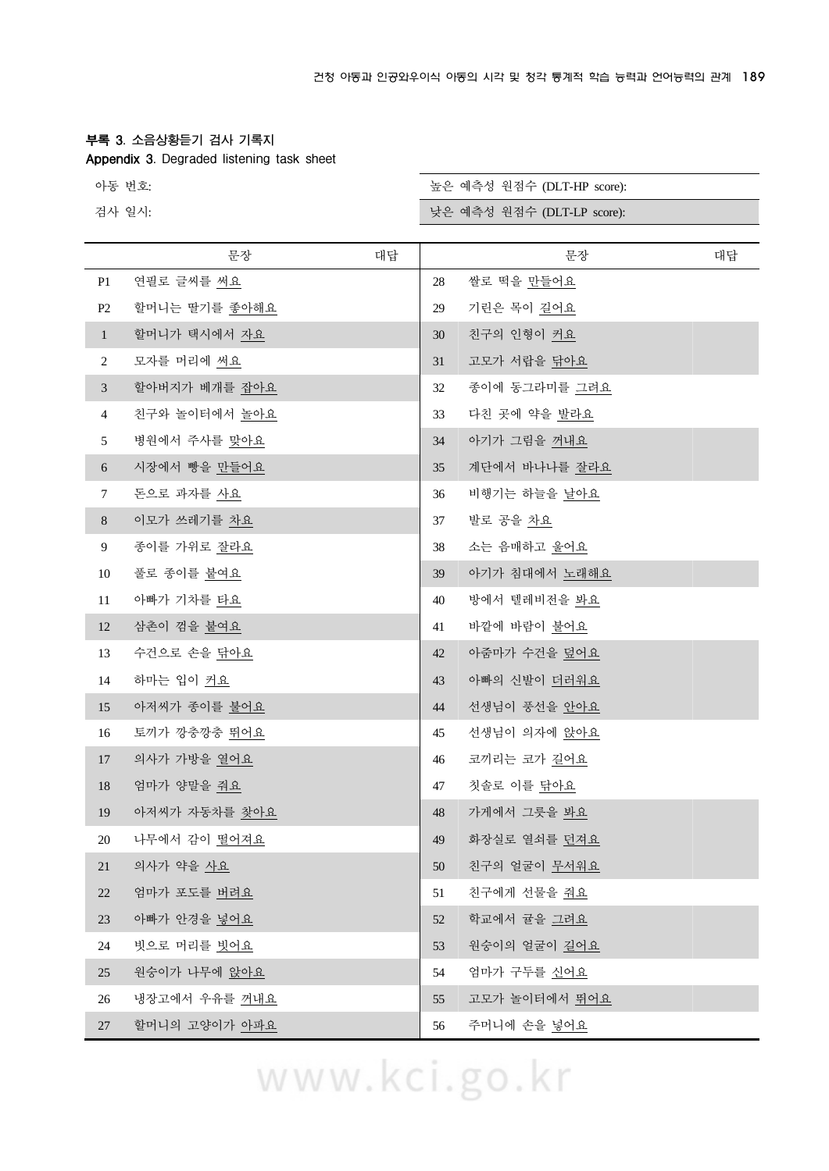#### **부록 3. 소음상황듣기 검사 기록지**

**Appendix 3. Degraded listening task sheet**

검사 일시:

| 아동 번호: | 높은 예측성 원점수 (DLT-HP score): |
|--------|----------------------------|
| 건사 일사  | 낮은 예측성 워정수 (DLT-LP score)  |

|                | 문장                   | 대답 |        | 문장            | 대답 |
|----------------|----------------------|----|--------|---------------|----|
| P1             | 연필로 글씨를 써요           |    | 28     | 쌀로 떡을 만들어요    |    |
| P <sub>2</sub> | 할머니는 딸기를 좋아해요        |    | 29     | 기린은 목이 길어요    |    |
| $\mathbf{1}$   | 할머니가 택시에서 자요         |    | 30     | 친구의 인형이 커요    |    |
| $\overline{2}$ | 모자를 머리에 써요           |    | 31     | 고모가 서랍을 닦아요   |    |
| $\mathfrak{Z}$ | 할아버지가 베개를 잡아요        |    | 32     | 종이에 동그라미를 그려요 |    |
| $\overline{4}$ | 친구와 놀이터에서 <u>놀아요</u> |    | 33     | 다친 곳에 약을 발라요  |    |
| 5              | 병원에서 주사를 맞아요         |    | 34     | 아기가 그림을 꺼내요   |    |
| 6              | 시장에서 빵을 만들어요         |    | 35     | 계단에서 바나나를 잘라요 |    |
| $\tau$         | 돈으로 과자를 사요           |    | 36     | 비행기는 하늘을 날아요  |    |
| 8              | 이모가 쓰레기를 차요          |    | 37     | 발로 공을 차요      |    |
| 9              | 종이를 가위로 <u>잘라요</u>   |    | 38     | 소는 음매하고 울어요   |    |
| 10             | 풀로 종이를 붙여요           |    | 39     | 아기가 침대에서 노래해요 |    |
| 11             | 아빠가 기차를 타요           |    | 40     | 방에서 텔레비전을 봐요  |    |
| 12             | 삼촌이 껌을 붙여요           |    | 41     | 바깥에 바람이 불어요   |    |
| 13             | 수건으로 손을 닦아요          |    | 42     | 아줌마가 수건을 덮어요  |    |
| 14             | 하마는 입이 <u>커요</u>     |    | 43     | 아빠의 신발이 더러워요  |    |
| 15             | 아저씨가 종이를 불어요         |    | 44     | 선생님이 풍선을 안아요  |    |
| 16             | 토끼가 깡충깡충 <u>뛰어요</u>  |    | 45     | 선생님이 의자에 앉아요  |    |
| 17             | 의사가 가방을 열어요          |    | 46     | 코끼리는 코가 길어요   |    |
| 18             | 엄마가 양말을 줘요           |    | 47     | 칫솔로 이를 닦아요    |    |
| 19             | 아저씨가 자동차를 찾아요        |    | 48     | 가게에서 그릇을 봐요   |    |
| 20             | 나무에서 감이 떨어져요         |    | 49     | 화장실로 열쇠를 던져요  |    |
| 21             | 의사가 약을 사요            |    | $50\,$ | 친구의 얼굴이 무서워요  |    |
| 22             | 엄마가 포도를 버려요          |    | 51     | 친구에게 선물을 줘요   |    |
| 23             | 아빠가 안경을 넣어요          |    | 52     | 학교에서 귤을 그려요   |    |
| 24             | 빗으로 머리를 빗어요          |    | 53     | 원숭이의 얼굴이 길어요  |    |
| 25             | 원숭이가 나무에 앉아요         |    | 54     | 엄마가 구두를 신어요   |    |
| 26             | 냉장고에서 우유를 꺼내요        |    | 55     | 고모가 놀이터에서 뛰어요 |    |
| 27             | 할머니의 고양이가 아파요        |    | 56     | 주머니에 손을 넣어요   |    |

www.kci.go.kr